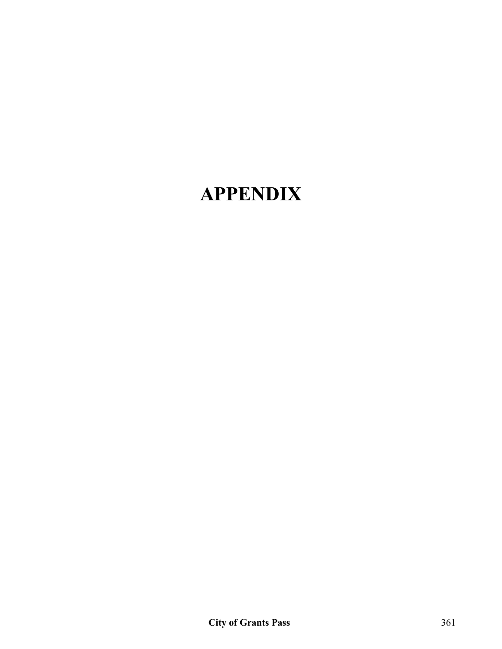# **APPENDIX**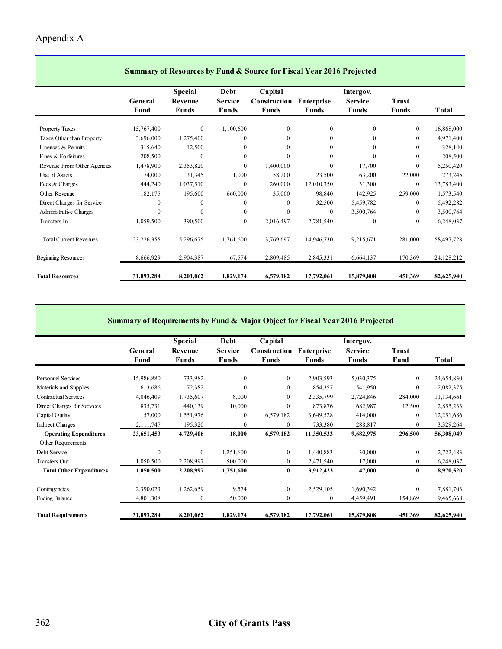#### Appendix A

|                               |            | <b>Summary of Resources by Fund &amp; Source for Fiscal Year 2016 Projected</b> |                |              |                   |                |              |            |  |  |  |  |  |
|-------------------------------|------------|---------------------------------------------------------------------------------|----------------|--------------|-------------------|----------------|--------------|------------|--|--|--|--|--|
|                               |            | <b>Special</b>                                                                  | Debt           | Capital      |                   | Intergov.      |              |            |  |  |  |  |  |
|                               | General    | Revenue                                                                         | <b>Service</b> | Construction | <b>Enterprise</b> | <b>Service</b> | <b>Trust</b> |            |  |  |  |  |  |
|                               | Fund       | <b>Funds</b>                                                                    | <b>Funds</b>   | Funds        | <b>Funds</b>      | <b>Funds</b>   | <b>Funds</b> | Total      |  |  |  |  |  |
| <b>Property Taxes</b>         | 15,767,400 | $\mathbf{0}$                                                                    | 1,100,600      | $\mathbf{0}$ | $\mathbf{0}$      | $\mathbf{0}$   | $\mathbf{0}$ | 16,868,000 |  |  |  |  |  |
| Taxes Other than Property     | 3,696,000  | 1,275,400                                                                       | $\Omega$       | $\theta$     | $\theta$          | $\Omega$       | $\theta$     | 4,971,400  |  |  |  |  |  |
| Licenses & Permits            | 315,640    | 12,500                                                                          | $\mathbf{0}$   | $\theta$     | $\theta$          | $\Omega$       | $\theta$     | 328,140    |  |  |  |  |  |
| Fines & Forfeitures           | 208,500    | 0                                                                               | $\mathbf{0}$   | $\theta$     | $\Omega$          | $\theta$       | $\mathbf{0}$ | 208,500    |  |  |  |  |  |
| Revenue From Other Agencies   | 1,478,900  | 2,353,820                                                                       | $\mathbf{0}$   | 1,400,000    | $\mathbf{0}$      | 17,700         | $\mathbf{0}$ | 5,250,420  |  |  |  |  |  |
| Use of Assets                 | 74,000     | 31,345                                                                          | 1,000          | 58,200       | 23,500            | 63,200         | 22,000       | 273,245    |  |  |  |  |  |
| Fees & Charges                | 444,240    | 1,037,510                                                                       | $\mathbf{0}$   | 260,000      | 12,010,350        | 31,300         | $\mathbf{0}$ | 13,783,400 |  |  |  |  |  |
| Other Revenue                 | 182,175    | 195,600                                                                         | 660,000        | 35,000       | 98,840            | 142,925        | 259,000      | 1,573,540  |  |  |  |  |  |
| Direct Charges for Service    | $\Omega$   | 0                                                                               | $\mathbf{0}$   | $\Omega$     | 32,500            | 5,459,782      | $\mathbf{0}$ | 5,492,282  |  |  |  |  |  |
| <b>Administrative Charges</b> | $\theta$   | 0                                                                               | $\mathbf{0}$   | $\theta$     | $\theta$          | 3,500,764      | $\mathbf{0}$ | 3,500,764  |  |  |  |  |  |
| Transfers In                  | 1,059,500  | 390,500                                                                         | $\mathbf{0}$   | 2,016,497    | 2,781,540         | $\theta$       | $\mathbf{0}$ | 6,248,037  |  |  |  |  |  |
| <b>Total Current Revenues</b> | 23,226,355 | 5,296,675                                                                       | 1,761,600      | 3,769,697    | 14,946,730        | 9,215,671      | 281,000      | 58,497,728 |  |  |  |  |  |
| <b>Beginning Resources</b>    | 8,666,929  | 2,904,387                                                                       | 67,574         | 2,809,485    | 2,845,331         | 6,664,137      | 170,369      | 24,128,212 |  |  |  |  |  |
| <b>Total Resources</b>        | 31,893,284 | 8,201,062                                                                       | 1,829,174      | 6,579,182    | 17,792,061        | 15,879,808     | 451,369      | 82,625,940 |  |  |  |  |  |

 $\overline{\phantom{0}}$ 

#### **Summary of Requirements by Fund & Major Object for Fiscal Year 2016 Projected**

|                                 |              | <b>Special</b> | Debt             | Capital      |                   | Intergov.      |                  |              |
|---------------------------------|--------------|----------------|------------------|--------------|-------------------|----------------|------------------|--------------|
|                                 | General      | Revenue        | <b>Service</b>   | Construction | <b>Enterprise</b> | <b>Service</b> | <b>Trust</b>     |              |
|                                 | Fund         | Funds          | <b>Funds</b>     | <b>Funds</b> | <b>Funds</b>      | Funds          | Fund             | <b>Total</b> |
|                                 |              |                |                  |              |                   |                |                  |              |
| <b>Personnel Services</b>       | 15,986,880   | 733,982        | $\mathbf{0}$     | $\mathbf{0}$ | 2,903,593         | 5,030,375      | $\mathbf{0}$     | 24,654,830   |
| Materials and Supplies          | 613,686      | 72,382         | $\theta$         | $\mathbf{0}$ | 854,357           | 541,950        | $\mathbf{0}$     | 2,082,375    |
| Contractual Services            | 4,046,409    | 1,735,607      | 8,000            | $\mathbf{0}$ | 2,335,799         | 2,724,846      | 284,000          | 11,134,661   |
| Direct Charges for Services     | 835,731      | 440,139        | 10,000           | $\mathbf{0}$ | 873,876           | 682,987        | 12,500           | 2,855,233    |
| Capital Outlay                  | 57,000       | 1,551,976      | $\boldsymbol{0}$ | 6,579,182    | 3,649,528         | 414,000        | $\mathbf{0}$     | 12,251,686   |
| Indirect Charges                | 2,111,747    | 195,320        | $\mathbf{0}$     | $\mathbf{0}$ | 733,380           | 288,817        | $\mathbf{0}$     | 3,329,264    |
| <b>Operating Expenditures</b>   | 23,651,453   | 4,729,406      | 18,000           | 6,579,182    | 11,350,533        | 9,682,975      | 296,500          | 56,308,049   |
| Other Requirements              |              |                |                  |              |                   |                |                  |              |
| Debt Service                    | $\mathbf{0}$ | $\mathbf{0}$   | 1,251,600        | $\mathbf{0}$ | 1,440,883         | 30,000         | $\boldsymbol{0}$ | 2,722,483    |
| <b>Transfers Out</b>            | 1,050,500    | 2,208,997      | 500,000          | $\mathbf{0}$ | 2,471,540         | 17,000         | $\mathbf{0}$     | 6,248,037    |
| <b>Total Other Expenditures</b> | 1,050,500    | 2,208,997      | 1,751,600        | $\bf{0}$     | 3,912,423         | 47,000         | $\bf{0}$         | 8,970,520    |
| Contingencies                   | 2,390,023    | 1,262,659      | 9,574            | $\mathbf{0}$ | 2,529,105         | 1,690,342      | $\theta$         | 7,881,703    |
| <b>Ending Balance</b>           | 4,801,308    | $\mathbf{0}$   | 50,000           | $\mathbf{0}$ | $\mathbf{0}$      | 4,459,491      | 154,869          | 9,465,668    |
| <b>Total Requirements</b>       | 31,893,284   | 8,201,062      | 1,829,174        | 6,579,182    | 17,792,061        | 15,879,808     | 451,369          | 82,625,940   |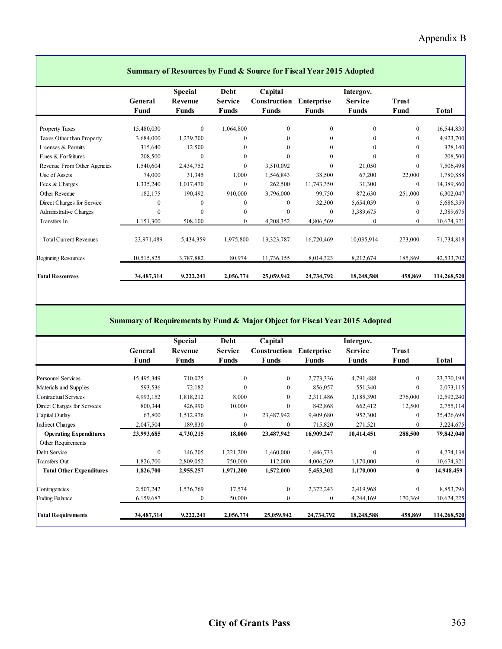|                               | <b>Summary of Resources by Fund &amp; Source for Fiscal Year 2015 Adopted</b> |                                           |                                        |                                         |                                   |                                      |                      |             |  |  |
|-------------------------------|-------------------------------------------------------------------------------|-------------------------------------------|----------------------------------------|-----------------------------------------|-----------------------------------|--------------------------------------|----------------------|-------------|--|--|
|                               | General<br>Fund                                                               | <b>Special</b><br>Revenue<br><b>Funds</b> | Debt<br><b>Service</b><br><b>Funds</b> | Capital<br>Construction<br><b>Funds</b> | <b>Enterprise</b><br><b>Funds</b> | Intergov.<br><b>Service</b><br>Funds | <b>Trust</b><br>Fund | Total       |  |  |
| <b>Property Taxes</b>         | 15,480,030                                                                    | $\overline{0}$                            | 1,064,800                              | $\overline{0}$                          | $\mathbf{0}$                      | $\Omega$                             | $\boldsymbol{0}$     | 16,544,830  |  |  |
| Taxes Other than Property     | 3,684,000                                                                     | 1,239,700                                 | $\mathbf{0}$                           | $\Omega$                                | $\Omega$                          | 0                                    | $\mathbf{0}$         | 4,923,700   |  |  |
| Licenses & Permits            | 315,640                                                                       | 12,500                                    | $\boldsymbol{0}$                       | $\Omega$                                | $\theta$                          | 0                                    | $\mathbf{0}$         | 328,140     |  |  |
| Fines & Forfeitures           | 208,500                                                                       | $\mathbf{0}$                              | $\boldsymbol{0}$                       | $\theta$                                | $\theta$                          |                                      | $\boldsymbol{0}$     | 208,500     |  |  |
| Revenue From Other Agencies   | 1,540,604                                                                     | 2,434,752                                 | $\mathbf{0}$                           | 3,510,092                               | $\mathbf{0}$                      | 21,050                               | $\mathbf{0}$         | 7,506,498   |  |  |
| Use of Assets                 | 74,000                                                                        | 31,345                                    | 1,000                                  | 1,546,843                               | 38,500                            | 67,200                               | 22,000               | 1,780,888   |  |  |
| Fees & Charges                | 1,335,240                                                                     | 1,017,470                                 | $\mathbf{0}$                           | 262,500                                 | 11,743,350                        | 31,300                               | $\mathbf{0}$         | 14,389,860  |  |  |
| Other Revenue                 | 182,175                                                                       | 190,492                                   | 910,000                                | 3,796,000                               | 99,750                            | 872,630                              | 251,000              | 6,302,047   |  |  |
| Direct Charges for Service    | $\Omega$                                                                      | $\Omega$                                  | $\boldsymbol{0}$                       | 0                                       | 32,300                            | 5,654,059                            | 0                    | 5,686,359   |  |  |
| <b>Administrative Charges</b> | $\Omega$                                                                      | $\Omega$                                  | $\boldsymbol{0}$                       | $\Omega$                                | $\theta$                          | 3,389,675                            | $\boldsymbol{0}$     | 3,389,675   |  |  |
| Transfers In                  | 1,151,300                                                                     | 508,100                                   | $\overline{0}$                         | 4,208,352                               | 4,806,569                         | $\Omega$                             | $\overline{0}$       | 10,674,321  |  |  |
| <b>Total Current Revenues</b> | 23,971,489                                                                    | 5,434,359                                 | 1,975,800                              | 13,323,787                              | 16,720,469                        | 10,035,914                           | 273,000              | 71,734,818  |  |  |
| <b>Beginning Resources</b>    | 10,515,825                                                                    | 3,787,882                                 | 80,974                                 | 11,736,155                              | 8,014,323                         | 8,212,674                            | 185,869              | 42,533,702  |  |  |
| <b>Total Resources</b>        | 34,487,314                                                                    | 9,222,241                                 | 2,056,774                              | 25,059,942                              | 24,734,792                        | 18,248,588                           | 458,869              | 114,268,520 |  |  |

#### **Summary of Requirements by Fund & Major Object for Fiscal Year 2015 Adopted**

|                                 |              | <b>Special</b> | Debt             | Capital      |                   | Intergov.      |                  |             |  |
|---------------------------------|--------------|----------------|------------------|--------------|-------------------|----------------|------------------|-------------|--|
|                                 | General      | Revenue        | Service          | Construction | <b>Enterprise</b> | <b>Service</b> | <b>Trust</b>     |             |  |
|                                 | Fund         | Funds          | <b>Funds</b>     | Funds        | <b>Funds</b>      | Funds          | Fund             | Total       |  |
| <b>Personnel Services</b>       | 15,495,349   | 710,025        | $\mathbf{0}$     | $\mathbf{0}$ | 2,773,336         | 4,791,488      | $\mathbf{0}$     | 23,770,198  |  |
| Materials and Supplies          | 593,536      | 72,182         | $\boldsymbol{0}$ | $\mathbf{0}$ | 856,057           | 551,340        | $\boldsymbol{0}$ | 2,073,115   |  |
| Contractual Services            | 4,993,152    | 1,818,212      | 8,000            | $\Omega$     | 2,311,486         | 3,185,390      | 276,000          | 12,592,240  |  |
| Direct Charges for Services     | 800,344      | 426,990        | 10,000           | $\theta$     | 842,868           | 662,412        | 12,500           | 2,755,114   |  |
| Capital Outlay                  | 63,800       | 1,512,976      | $\boldsymbol{0}$ | 23,487,942   | 9,409,680         | 952,300        | $\mathbf{0}$     | 35,426,698  |  |
| Indirect Charges                | 2,047,504    | 189,830        | $\boldsymbol{0}$ | $\mathbf{0}$ | 715,820           | 271,521        | $\boldsymbol{0}$ | 3,224,675   |  |
| <b>Operating Expenditures</b>   | 23,993,685   | 4,730,215      | 18,000           | 23,487,942   | 16,909,247        | 10,414,451     | 288,500          | 79,842,040  |  |
| Other Requirements              |              |                |                  |              |                   |                |                  |             |  |
| Debt Service                    | $\mathbf{0}$ | 146,205        | 1,221,200        | 1,460,000    | 1,446,733         | $\Omega$       | $\mathbf{0}$     | 4,274,138   |  |
| <b>Transfers Out</b>            | 1,826,700    | 2,809,052      | 750,000          | 112,000      | 4,006,569         | 1,170,000      | $\boldsymbol{0}$ | 10,674,321  |  |
| <b>Total Other Expenditures</b> | 1,826,700    | 2,955,257      | 1,971,200        | 1,572,000    | 5,453,302         | 1,170,000      | $\bf{0}$         | 14,948,459  |  |
| Contingencies                   | 2,507,242    | 1,536,769      | 17,574           | $\Omega$     | 2,372,243         | 2,419,968      | $\mathbf{0}$     | 8,853,796   |  |
| <b>Ending Balance</b>           | 6,159,687    | 0              | 50,000           | $\bf{0}$     | $\bf{0}$          | 4,244,169      | 170,369          | 10,624,225  |  |
| <b>Total Requirements</b>       | 34,487,314   | 9,222,241      | 2,056,774        | 25,059,942   | 24,734,792        | 18,248,588     | 458,869          | 114,268,520 |  |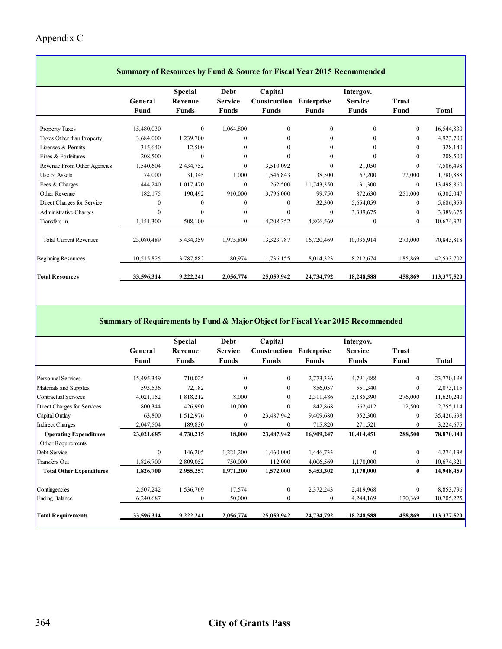#### Appendix C

 $\overline{\phantom{a}}$ 

|                               | Summary of Resources by Fund & Source for Fiscal Year 2015 Recommended |                           |                        |                         |                   |                             |              |             |  |  |  |  |
|-------------------------------|------------------------------------------------------------------------|---------------------------|------------------------|-------------------------|-------------------|-----------------------------|--------------|-------------|--|--|--|--|
|                               | General                                                                | <b>Special</b><br>Revenue | Debt<br><b>Service</b> | Capital<br>Construction | <b>Enterprise</b> | Intergov.<br><b>Service</b> | <b>Trust</b> |             |  |  |  |  |
|                               | Fund                                                                   | <b>Funds</b>              | <b>Funds</b>           | <b>Funds</b>            | <b>Funds</b>      | <b>Funds</b>                | Fund         | Total       |  |  |  |  |
| <b>Property Taxes</b>         | 15,480,030                                                             | $\mathbf{0}$              | 1,064,800              | $\mathbf{0}$            | $\mathbf{0}$      | $\Omega$                    | $\bf{0}$     | 16,544,830  |  |  |  |  |
| Taxes Other than Property     | 3,684,000                                                              | 1,239,700                 | $\mathbf{0}$           | 0                       | $\mathbf{0}$      | $\mathbf{0}$                | $\mathbf{0}$ | 4,923,700   |  |  |  |  |
| Licenses & Permits            | 315,640                                                                | 12,500                    | $\mathbf{0}$           | 0                       | $\Omega$          | 0                           | $\mathbf{0}$ | 328,140     |  |  |  |  |
| Fines & Forfeitures           | 208,500                                                                | 0                         | $\mathbf{0}$           | $\theta$                | $\theta$          | $\Omega$                    | $\mathbf{0}$ | 208,500     |  |  |  |  |
| Revenue From Other Agencies   | 1,540,604                                                              | 2,434,752                 | $\theta$               | 3,510,092               | $\Omega$          | 21,050                      | $\Omega$     | 7,506,498   |  |  |  |  |
| Use of Assets                 | 74,000                                                                 | 31,345                    | 1,000                  | 1,546,843               | 38,500            | 67,200                      | 22,000       | 1,780,888   |  |  |  |  |
| Fees & Charges                | 444,240                                                                | 1,017,470                 | $\mathbf{0}$           | 262,500                 | 11,743,350        | 31,300                      | $\mathbf{0}$ | 13,498,860  |  |  |  |  |
| Other Revenue                 | 182,175                                                                | 190,492                   | 910,000                | 3,796,000               | 99,750            | 872,630                     | 251,000      | 6,302,047   |  |  |  |  |
| Direct Charges for Service    | $\theta$                                                               | 0                         | $\mathbf{0}$           | 0                       | 32,300            | 5,654,059                   | $\mathbf{0}$ | 5,686,359   |  |  |  |  |
| <b>Administrative Charges</b> | $\Omega$                                                               | $\Omega$                  | $\mathbf{0}$           | 0                       | $\theta$          | 3,389,675                   | $\mathbf{0}$ | 3,389,675   |  |  |  |  |
| Transfers In                  | 1,151,300                                                              | 508,100                   | $\mathbf{0}$           | 4,208,352               | 4,806,569         | $\mathbf{0}$                | $\mathbf{0}$ | 10,674,321  |  |  |  |  |
|                               |                                                                        |                           |                        |                         |                   |                             |              |             |  |  |  |  |
| <b>Total Current Revenues</b> | 23,080,489                                                             | 5,434,359                 | 1,975,800              | 13,323,787              | 16,720,469        | 10,035,914                  | 273,000      | 70,843,818  |  |  |  |  |
| <b>Beginning Resources</b>    | 10,515,825                                                             | 3,787,882                 | 80,974                 | 11,736,155              | 8,014,323         | 8,212,674                   | 185,869      | 42,533,702  |  |  |  |  |
| <b>Total Resources</b>        | 33,596,314                                                             | 9,222,241                 | 2,056,774              | 25,059,942              | 24,734,792        | 18,248,588                  | 458,869      | 113,377,520 |  |  |  |  |

٦

#### **Summary of Requirements by Fund & Major Object for Fiscal Year 2015 Recommended**

|                                 |            | <b>Special</b> | Debt             | Capital      |                   | Intergov.      |                  |             |
|---------------------------------|------------|----------------|------------------|--------------|-------------------|----------------|------------------|-------------|
|                                 | General    | Revenue        | <b>Service</b>   | Construction | <b>Enterprise</b> | <b>Service</b> | <b>Trust</b>     |             |
|                                 | Fund       | Funds          | Funds            | Funds        | Funds             | Funds          | Fund             | Total       |
|                                 |            |                |                  |              |                   |                |                  |             |
| <b>Personnel Services</b>       | 15,495,349 | 710,025        | $\mathbf{0}$     | $\mathbf{0}$ | 2,773,336         | 4,791,488      | $\overline{0}$   | 23,770,198  |
| Materials and Supplies          | 593,536    | 72,182         | $\boldsymbol{0}$ | $\mathbf{0}$ | 856,057           | 551,340        | $\mathbf{0}$     | 2,073,115   |
| Contractual Services            | 4,021,152  | 1,818,212      | 8,000            | $\Omega$     | 2,311,486         | 3,185,390      | 276,000          | 11,620,240  |
| Direct Charges for Services     | 800,344    | 426,990        | 10,000           | $\theta$     | 842,868           | 662,412        | 12,500           | 2,755,114   |
| Capital Outlay                  | 63,800     | 1,512,976      | $\bf{0}$         | 23,487,942   | 9,409,680         | 952,300        | $\overline{0}$   | 35,426,698  |
| Indirect Charges                | 2,047,504  | 189,830        | $\theta$         |              | 715,820           | 271,521        | $\mathbf{0}$     | 3,224,675   |
| <b>Operating Expenditures</b>   | 23,021,685 | 4,730,215      | 18,000           | 23,487,942   | 16,909,247        | 10,414,451     | 288,500          | 78,870,040  |
| Other Requirements              |            |                |                  |              |                   |                |                  |             |
| Debt Service                    | $\Omega$   | 146,205        | 1,221,200        | 1,460,000    | 1,446,733         | $\Omega$       | $\boldsymbol{0}$ | 4,274,138   |
| Transfers Out                   | 1,826,700  | 2,809,052      | 750,000          | 112,000      | 4,006,569         | 1,170,000      | $\overline{0}$   | 10,674,321  |
| <b>Total Other Expenditures</b> | 1,826,700  | 2,955,257      | 1,971,200        | 1,572,000    | 5,453,302         | 1,170,000      | $\bf{0}$         | 14,948,459  |
| Contingencies                   | 2,507,242  | 1,536,769      | 17,574           | $\mathbf{0}$ | 2,372,243         | 2,419,968      | $\mathbf{0}$     | 8,853,796   |
| <b>Ending Balance</b>           | 6,240,687  | $\Omega$       | 50,000           | $\Omega$     | $\theta$          | 4,244,169      | 170,369          | 10,705,225  |
| <b>Total Requirements</b>       | 33,596,314 | 9,222,241      | 2,056,774        | 25,059,942   | 24,734,792        | 18,248,588     | 458,869          | 113,377,520 |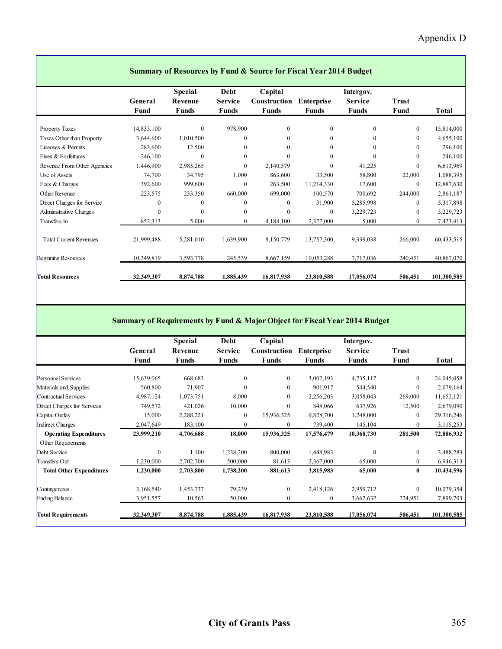|                               | <b>Summary of Resources by Fund &amp; Source for Fiscal Year 2014 Budget</b> |                                           |                                               |                                         |                                   |                                      |                      |             |  |  |  |
|-------------------------------|------------------------------------------------------------------------------|-------------------------------------------|-----------------------------------------------|-----------------------------------------|-----------------------------------|--------------------------------------|----------------------|-------------|--|--|--|
|                               | General<br>Fund                                                              | <b>Special</b><br>Revenue<br><b>Funds</b> | <b>Debt</b><br><b>Service</b><br><b>Funds</b> | Capital<br>Construction<br><b>Funds</b> | <b>Enterprise</b><br><b>Funds</b> | Intergov.<br><b>Service</b><br>Funds | <b>Trust</b><br>Fund | Total       |  |  |  |
| <b>Property Taxes</b>         | 14,835,100                                                                   | $\overline{0}$                            | 978,900                                       | $\mathbf{0}$                            | $\theta$                          | $\Omega$                             | $\mathbf{0}$         | 15,814,000  |  |  |  |
| Taxes Other than Property     | 3,644,600                                                                    | 1,010,500                                 | $\theta$                                      | $\mathbf{0}$                            | $\theta$                          | $\Omega$                             | $\theta$             | 4,655,100   |  |  |  |
| Licenses & Permits            | 283,600                                                                      | 12,500                                    | $\mathbf{0}$                                  | 0                                       | $\theta$                          | $\theta$                             | $\theta$             | 296,100     |  |  |  |
| Fines & Forfeitures           | 246,100                                                                      | $\theta$                                  | $\theta$                                      | $\theta$                                | $\Omega$                          | $\Omega$                             | $\theta$             | 246,100     |  |  |  |
| Revenue From Other Agencies   | 1,446,900                                                                    | 2,985,265                                 | $\theta$                                      | 2,140,579                               | $\theta$                          | 41,225                               | $\theta$             | 6,613,969   |  |  |  |
| Use of Assets                 | 74,700                                                                       | 34,795                                    | 1,000                                         | 863,600                                 | 33,500                            | 58,800                               | 22,000               | 1,088,395   |  |  |  |
| Fees & Charges                | 392,600                                                                      | 999,600                                   | $\theta$                                      | 263,500                                 | 11,214,330                        | 17,600                               | $\mathbf{0}$         | 12,887,630  |  |  |  |
| Other Revenue                 | 223,575                                                                      | 233,350                                   | 660,000                                       | 699,000                                 | 100,570                           | 700,692                              | 244,000              | 2,861,187   |  |  |  |
| Direct Charges for Service    |                                                                              | 0                                         | $\mathbf{0}$                                  | 0                                       | 31,900                            | 5,285,998                            | $\mathbf{0}$         | 5,317,898   |  |  |  |
| <b>Administrative Charges</b> | $\Omega$                                                                     | $\Omega$                                  | $\theta$                                      | $\theta$                                | $\theta$                          | 3,229,723                            | $\theta$             | 3,229,723   |  |  |  |
| Transfers In                  | 852,313                                                                      | 5,000                                     | $\mathbf{0}$                                  | 4,184,100                               | 2,377,000                         | 5,000                                | $\mathbf{0}$         | 7,423,413   |  |  |  |
| <b>Total Current Revenues</b> | 21,999,488                                                                   | 5,281,010                                 | 1,639,900                                     | 8,150,779                               | 13,757,300                        | 9,339,038                            | 266,000              | 60,433,515  |  |  |  |
| <b>Beginning Resources</b>    | 10,349,819                                                                   | 3,593,778                                 | 245,539                                       | 8,667,159                               | 10,053,288                        | 7,717,036                            | 240,451              | 40,867,070  |  |  |  |
| <b>Total Resources</b>        | 32,349,307                                                                   | 8,874,788                                 | 1,885,439                                     | 16,817,938                              | 23,810,588                        | 17,056,074                           | 506,451              | 101,300,585 |  |  |  |

Г

#### **Summary of Requirements by Fund & Major Object for Fiscal Year 2014 Budget**

|                                 |              | <b>Special</b> | Debt             | Capital      |                   | Intergov.      |              |             |
|---------------------------------|--------------|----------------|------------------|--------------|-------------------|----------------|--------------|-------------|
|                                 | General      | Revenue        | <b>Service</b>   | Construction | <b>Enterprise</b> | <b>Service</b> | <b>Trust</b> |             |
|                                 | Fund         | Funds          | Funds            | <b>Funds</b> | Funds             | Funds          | Fund         | Total       |
|                                 |              |                |                  |              |                   |                |              |             |
| <b>Personnel Services</b>       | 15,639,065   | 668,683        | $\boldsymbol{0}$ | $\mathbf{0}$ | 3,002,193         | 4,735,117      | $\mathbf{0}$ | 24,045,058  |
| Materials and Supplies          | 560,800      | 71,907         | $\mathbf{0}$     | $\mathbf{0}$ | 901,917           | 544,540        | $\mathbf{0}$ | 2,079,164   |
| Contractual Services            | 4,987,124    | 1,073,751      | 8,000            | $\mathbf{0}$ | 2,256,203         | 3,058,043      | 269,000      | 11,652,121  |
| Direct Charges for Services     | 749,572      | 421,026        | 10,000           | $\mathbf{0}$ | 848,066           | 637,926        | 12,500       | 2,679,090   |
| Capital Outlay                  | 15,000       | 2,288,221      | $\mathbf{0}$     | 15,936,325   | 9,828,700         | 1,248,000      | $\mathbf{0}$ | 29,316,246  |
| Indirect Charges                | 2,047,649    | 183,100        | $\mathbf{0}$     | 0            | 739,400           | 145,104        | $\mathbf{0}$ | 3,115,253   |
| <b>Operating Expenditures</b>   | 23,999,210   | 4,706,688      | 18,000           | 15,936,325   | 17,576,479        | 10,368,730     | 281,500      | 72,886,932  |
| Other Requirements              |              |                |                  |              |                   |                |              |             |
| Debt Service                    | $\mathbf{0}$ | 1,100          | 1,238,200        | 800,000      | 1,448,983         | $\theta$       | $\mathbf{0}$ | 3,488,283   |
| <b>Transfers Out</b>            | 1,230,000    | 2,702,700      | 500,000          | 81,613       | 2,367,000         | 65,000         | $\mathbf{0}$ | 6,946,313   |
| <b>Total Other Expenditures</b> | 1,230,000    | 2,703,800      | 1,738,200        | 881,613      | 3,815,983         | 65,000         | $\bf{0}$     | 10,434,596  |
| Contingencies                   | 3,168,540    | 1,453,737      | 79,239           | $\mathbf{0}$ | 2,418,126         | 2,959,712      | $\mathbf{0}$ | 10,079,354  |
| <b>Ending Balance</b>           | 3,951,557    | 10,563         | 50,000           | $\mathbf{0}$ | $\mathbf{0}$      | 3,662,632      | 224,951      | 7,899,703   |
| <b>Total Requirements</b>       | 32,349,307   | 8,874,788      | 1,885,439        | 16,817,938   | 23,810,588        | 17,056,074     | 506,451      | 101,300,585 |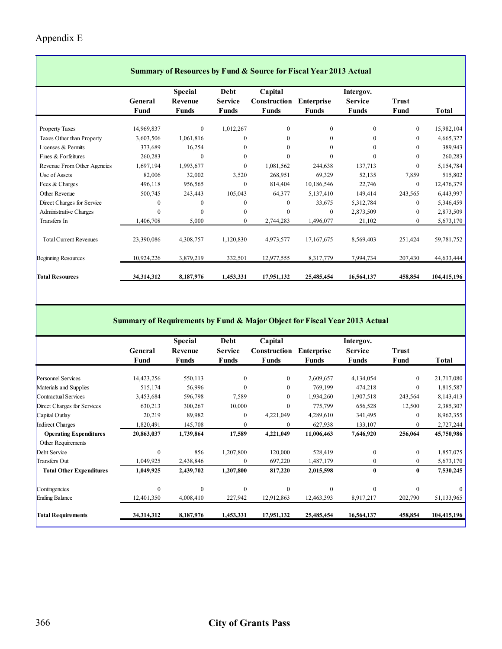#### Appendix E

|                               | <b>Summary of Resources by Fund &amp; Source for Fiscal Year 2013 Actual</b> |                |                |              |                   |                |              |             |  |  |  |
|-------------------------------|------------------------------------------------------------------------------|----------------|----------------|--------------|-------------------|----------------|--------------|-------------|--|--|--|
|                               |                                                                              | <b>Special</b> | Debt           | Capital      |                   | Intergov.      |              |             |  |  |  |
|                               | General                                                                      | Revenue        | <b>Service</b> | Construction | <b>Enterprise</b> | <b>Service</b> | <b>Trust</b> |             |  |  |  |
|                               | Fund                                                                         | <b>Funds</b>   | <b>Funds</b>   | <b>Funds</b> | <b>Funds</b>      | Funds          | Fund         | Total       |  |  |  |
| <b>Property Taxes</b>         | 14,969,837                                                                   | $\mathbf{0}$   | 1,012,267      | $\mathbf{0}$ | $\mathbf{0}$      | $\Omega$       | $\mathbf{0}$ | 15,982,104  |  |  |  |
| Taxes Other than Property     | 3,603,506                                                                    | 1,061,816      | $\Omega$       | 0            | $\theta$          | 0              | $\mathbf{0}$ | 4,665,322   |  |  |  |
| Licenses & Permits            | 373,689                                                                      | 16,254         | $\Omega$       | 0            | $\Omega$          | $\theta$       | $\theta$     | 389,943     |  |  |  |
| Fines & Forfeitures           | 260,283                                                                      | $\theta$       | $\theta$       | $\theta$     | $\theta$          | $\theta$       | $\theta$     | 260,283     |  |  |  |
| Revenue From Other Agencies   | 1,697,194                                                                    | 1,993,677      | $\mathbf{0}$   | 1,081,562    | 244,638           | 137,713        | $\mathbf{0}$ | 5,154,784   |  |  |  |
| Use of Assets                 | 82,006                                                                       | 32,002         | 3,520          | 268,951      | 69,329            | 52,135         | 7,859        | 515,802     |  |  |  |
| Fees & Charges                | 496,118                                                                      | 956,565        | $\theta$       | 814,404      | 10,186,546        | 22,746         | $\mathbf{0}$ | 12,476,379  |  |  |  |
| Other Revenue                 | 500,745                                                                      | 243,443        | 105,043        | 64,377       | 5,137,410         | 149,414        | 243,565      | 6,443,997   |  |  |  |
| Direct Charges for Service    | $\theta$                                                                     | 0              | $\theta$       | 0            | 33,675            | 5,312,784      | $\mathbf{0}$ | 5,346,459   |  |  |  |
| <b>Administrative Charges</b> | $\Omega$                                                                     | $\Omega$       | $\mathbf{0}$   | 0            | $\mathbf{0}$      | 2,873,509      | $\mathbf{0}$ | 2,873,509   |  |  |  |
| Transfers In                  | 1,406,708                                                                    | 5,000          | $\theta$       | 2,744,283    | 1,496,077         | 21,102         | $\theta$     | 5,673,170   |  |  |  |
|                               |                                                                              |                |                |              |                   |                |              |             |  |  |  |
| <b>Total Current Revenues</b> | 23,390,086                                                                   | 4,308,757      | 1,120,830      | 4,973,577    | 17,167,675        | 8,569,403      | 251,424      | 59,781,752  |  |  |  |
| <b>Beginning Resources</b>    | 10,924,226                                                                   | 3,879,219      | 332,501        | 12,977,555   | 8,317,779         | 7,994,734      | 207,430      | 44,633,444  |  |  |  |
| <b>Total Resources</b>        | 34,314,312                                                                   | 8,187,976      | 1,453,331      | 17,951,132   | 25,485,454        | 16,564,137     | 458,854      | 104,415,196 |  |  |  |

┓

#### **Summary of Requirements by Fund & Major Object for Fiscal Year 2013 Actual**

|                                 |                 | <b>Special</b>          | Debt                           | Capital                      |                                   | Intergov.               |                      |              |
|---------------------------------|-----------------|-------------------------|--------------------------------|------------------------------|-----------------------------------|-------------------------|----------------------|--------------|
|                                 | General<br>Fund | Revenue<br><b>Funds</b> | <b>Service</b><br><b>Funds</b> | Construction<br><b>Funds</b> | <b>Enterprise</b><br><b>Funds</b> | <b>Service</b><br>Funds | <b>Trust</b><br>Fund | <b>Total</b> |
|                                 |                 |                         |                                |                              |                                   |                         |                      |              |
| <b>Personnel Services</b>       | 14,423,256      | 550,113                 | $\mathbf{0}$                   | $\mathbf{0}$                 | 2,609,657                         | 4,134,054               | $\mathbf{0}$         | 21,717,080   |
| Materials and Supplies          | 515,174         | 56,996                  | $\theta$                       | 0                            | 769,199                           | 474,218                 | $\mathbf{0}$         | 1,815,587    |
| Contractual Services            | 3,453,684       | 596,798                 | 7,589                          | 0                            | 1,934,260                         | 1,907,518               | 243,564              | 8,143,413    |
| Direct Charges for Services     | 630,213         | 300,267                 | 10,000                         | $\Omega$                     | 775,799                           | 656,528                 | 12,500               | 2,385,307    |
| Capital Outlay                  | 20,219          | 89,982                  | $\mathbf{0}$                   | 4,221,049                    | 4,289,610                         | 341,495                 | $\mathbf{0}$         | 8,962,355    |
| <b>Indirect Charges</b>         | 1,820,491       | 145,708                 | $\mathbf{0}$                   | 0                            | 627,938                           | 133,107                 | $\mathbf{0}$         | 2,727,244    |
| <b>Operating Expenditures</b>   | 20,863,037      | 1,739,864               | 17,589                         | 4,221,049                    | 11,006,463                        | 7,646,920               | 256,064              | 45,750,986   |
| Other Requirements              |                 |                         |                                |                              |                                   |                         |                      |              |
| Debt Service                    | $\theta$        | 856                     | 1,207,800                      | 120,000                      | 528,419                           | $\Omega$                | $\mathbf{0}$         | 1,857,075    |
| <b>Transfers Out</b>            | 1,049,925       | 2,438,846               | $\theta$                       | 697,220                      | 1,487,179                         | $\mathbf{0}$            | $\mathbf{0}$         | 5,673,170    |
| <b>Total Other Expenditures</b> | 1,049,925       | 2,439,702               | 1,207,800                      | 817,220                      | 2,015,598                         | $\bf{0}$                | $\bf{0}$             | 7,530,245    |
| Contingencies                   | $\theta$        | $\theta$                | $\theta$                       | $\theta$                     | $\theta$                          | $\Omega$                | $\theta$             |              |
| <b>Ending Balance</b>           | 12,401,350      | 4,008,410               | 227,942                        | 12,912,863                   | 12,463,393                        | 8,917,217               | 202,790              | 51,133,965   |
| <b>Total Requirements</b>       | 34,314,312      | 8,187,976               | 1,453,331                      | 17,951,132                   | 25,485,454                        | 16,564,137              | 458,854              | 104,415,196  |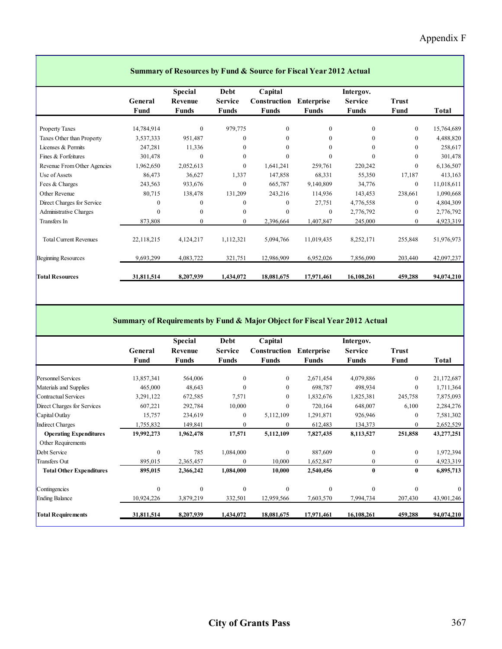|                               | <b>Summary of Resources by Fund &amp; Source for Fiscal Year 2012 Actual</b> |                                           |                                        |                                         |                                   |                                             |                      |            |  |  |  |
|-------------------------------|------------------------------------------------------------------------------|-------------------------------------------|----------------------------------------|-----------------------------------------|-----------------------------------|---------------------------------------------|----------------------|------------|--|--|--|
|                               | General<br>Fund                                                              | <b>Special</b><br>Revenue<br><b>Funds</b> | Debt<br><b>Service</b><br><b>Funds</b> | Capital<br>Construction<br><b>Funds</b> | <b>Enterprise</b><br><b>Funds</b> | Intergov.<br><b>Service</b><br><b>Funds</b> | <b>Trust</b><br>Fund | Total      |  |  |  |
| <b>Property Taxes</b>         | 14,784,914                                                                   | $\mathbf{0}$                              | 979,775                                | $\mathbf{0}$                            | $\Omega$                          | $\overline{0}$                              | $\mathbf{0}$         | 15,764,689 |  |  |  |
| Taxes Other than Property     | 3,537,333                                                                    | 951,487                                   | $\mathbf{0}$                           | $\mathbf{0}$                            | $\theta$                          | $\Omega$                                    | $\theta$             | 4,488,820  |  |  |  |
| Licenses & Permits            | 247,281                                                                      | 11,336                                    | $\mathbf{0}$                           | $\mathbf{0}$                            | $\Omega$                          | $\Omega$                                    | $\theta$             | 258,617    |  |  |  |
| Fines & Forfeitures           | 301,478                                                                      | $\theta$                                  | $\theta$                               | $\theta$                                | $\Omega$                          | $\Omega$                                    | $\theta$             | 301,478    |  |  |  |
| Revenue From Other Agencies   | 1,962,650                                                                    | 2,052,613                                 | $\mathbf{0}$                           | 1,641,241                               | 259,761                           | 220,242                                     | $\theta$             | 6,136,507  |  |  |  |
| Use of Assets                 | 86,473                                                                       | 36,627                                    | 1,337                                  | 147,858                                 | 68,331                            | 55,350                                      | 17,187               | 413,163    |  |  |  |
| Fees & Charges                | 243,563                                                                      | 933,676                                   | $\mathbf{0}$                           | 665,787                                 | 9,140,809                         | 34,776                                      | $\mathbf{0}$         | 11,018,611 |  |  |  |
| Other Revenue                 | 80,715                                                                       | 138,478                                   | 131,209                                | 243,216                                 | 114,936                           | 143,453                                     | 238,661              | 1,090,668  |  |  |  |
| Direct Charges for Service    | $\Omega$                                                                     | $\theta$                                  | $\theta$                               | $\theta$                                | 27,751                            | 4,776,558                                   | $\theta$             | 4,804,309  |  |  |  |
| <b>Administrative Charges</b> | $\Omega$                                                                     | $\theta$                                  | $\theta$                               | $\Omega$                                | $\theta$                          | 2,776,792                                   | $\theta$             | 2,776,792  |  |  |  |
| Transfers In                  | 873,808                                                                      | $\mathbf{0}$                              | $\mathbf{0}$                           | 2,396,664                               | 1,407,847                         | 245,000                                     | $\mathbf{0}$         | 4,923,319  |  |  |  |
| <b>Total Current Revenues</b> | 22,118,215                                                                   | 4,124,217                                 | 1,112,321                              | 5,094,766                               | 11,019,435                        | 8,252,171                                   | 255,848              | 51,976,973 |  |  |  |
| <b>Beginning Resources</b>    | 9,693,299                                                                    | 4,083,722                                 | 321,751                                | 12,986,909                              | 6,952,026                         | 7,856,090                                   | 203,440              | 42,097,237 |  |  |  |
| <b>Total Resources</b>        | 31,811,514                                                                   | 8,207,939                                 | 1,434,072                              | 18,081,675                              | 17,971,461                        | 16,108,261                                  | 459,288              | 94,074,210 |  |  |  |

#### **Summary of Requirements by Fund & Major Object for Fiscal Year 2012 Actual**

|                                 |              | <b>Special</b> | Debt           | Capital      |                   | Intergov.      |                |            |
|---------------------------------|--------------|----------------|----------------|--------------|-------------------|----------------|----------------|------------|
|                                 | General      | Revenue        | <b>Service</b> | Construction | <b>Enterprise</b> | <b>Service</b> | <b>Trust</b>   |            |
|                                 | Fund         | <b>Funds</b>   | <b>Funds</b>   | <b>Funds</b> | <b>Funds</b>      | Funds          | Fund           | Total      |
|                                 |              |                |                |              |                   |                |                |            |
| <b>Personnel Services</b>       | 13,857,341   | 564,006        | $\mathbf{0}$   | $\mathbf{0}$ | 2,671,454         | 4,079,886      | $\overline{0}$ | 21,172,687 |
| Materials and Supplies          | 465,000      | 48,643         | $\mathbf{0}$   | $\Omega$     | 698,787           | 498,934        | $\mathbf{0}$   | 1,711,364  |
| Contractual Services            | 3,291,122    | 672,585        | 7,571          | $\Omega$     | 1,832,676         | 1,825,381      | 245,758        | 7,875,093  |
| Direct Charges for Services     | 607,221      | 292,784        | 10,000         | $\Omega$     | 720,164           | 648,007        | 6,100          | 2,284,276  |
| Capital Outlay                  | 15,757       | 234,619        | $\bf{0}$       | 5,112,109    | 1,291,871         | 926,946        | $\mathbf{0}$   | 7,581,302  |
| <b>Indirect Charges</b>         | 1,755,832    | 149,841        | $\mathbf{0}$   | 0            | 612,483           | 134,373        | $\mathbf{0}$   | 2,652,529  |
| <b>Operating Expenditures</b>   | 19,992,273   | 1,962,478      | 17,571         | 5,112,109    | 7,827,435         | 8,113,527      | 251,858        | 43,277,251 |
| Other Requirements              |              |                |                |              |                   |                |                |            |
| Debt Service                    | $\theta$     | 785            | 1,084,000      | $\Omega$     | 887,609           | $\theta$       | $\mathbf{0}$   | 1,972,394  |
| <b>Transfers Out</b>            | 895,015      | 2,365,457      | $\mathbf{0}$   | 10,000       | 1,652,847         |                | $\mathbf{0}$   | 4,923,319  |
| <b>Total Other Expenditures</b> | 895,015      | 2,366,242      | 1,084,000      | 10,000       | 2,540,456         | $\mathbf{0}$   | $\bf{0}$       | 6,895,713  |
| Contingencies                   | $\mathbf{0}$ | $\theta$       | $\mathbf{0}$   | $\mathbf{0}$ | $\theta$          | $\Omega$       | $\mathbf{0}$   |            |
| <b>Ending Balance</b>           | 10,924,226   | 3,879,219      | 332,501        | 12,959,566   | 7,603,570         | 7,994,734      | 207,430        | 43,901,246 |
| <b>Total Requirements</b>       | 31,811,514   | 8,207,939      | 1,434,072      | 18,081,675   | 17,971,461        | 16,108,261     | 459,288        | 94,074,210 |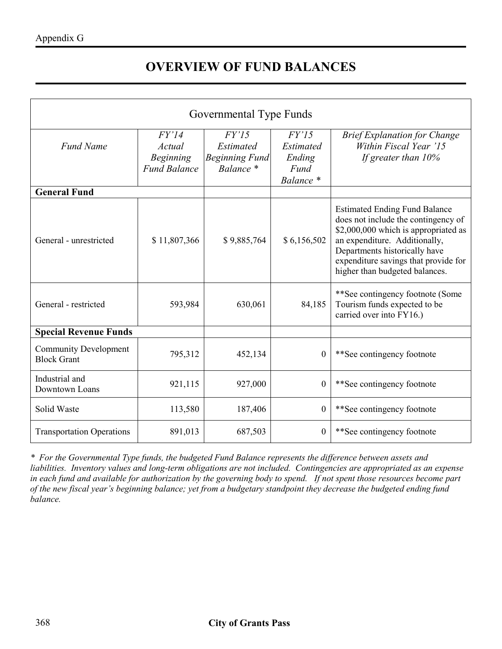## **OVERVIEW OF FUND BALANCES**

| Governmental Type Funds                            |                                                            |                                                                 |                                                   |                                                                                                                                                                                                                                                                 |  |  |  |
|----------------------------------------------------|------------------------------------------------------------|-----------------------------------------------------------------|---------------------------------------------------|-----------------------------------------------------------------------------------------------------------------------------------------------------------------------------------------------------------------------------------------------------------------|--|--|--|
| <b>Fund Name</b>                                   | FY'14<br>Actual<br><b>Beginning</b><br><b>Fund Balance</b> | FY'15<br><b>Estimated</b><br><b>Beginning Fund</b><br>Balance * | FY'15<br>Estimated<br>Ending<br>Fund<br>Balance * | <b>Brief Explanation for Change</b><br>Within Fiscal Year '15<br>If greater than $10\%$                                                                                                                                                                         |  |  |  |
| <b>General Fund</b>                                |                                                            |                                                                 |                                                   |                                                                                                                                                                                                                                                                 |  |  |  |
| General - unrestricted                             | \$11,807,366                                               | \$9,885,764                                                     | \$6,156,502                                       | <b>Estimated Ending Fund Balance</b><br>does not include the contingency of<br>\$2,000,000 which is appropriated as<br>an expenditure. Additionally,<br>Departments historically have<br>expenditure savings that provide for<br>higher than budgeted balances. |  |  |  |
| General - restricted                               | 593,984                                                    | 630,061                                                         | 84,185                                            | **See contingency footnote (Some)<br>Tourism funds expected to be<br>carried over into FY16.)                                                                                                                                                                   |  |  |  |
| <b>Special Revenue Funds</b>                       |                                                            |                                                                 |                                                   |                                                                                                                                                                                                                                                                 |  |  |  |
| <b>Community Development</b><br><b>Block Grant</b> | 795,312                                                    | 452,134                                                         | $\theta$                                          | **See contingency footnote                                                                                                                                                                                                                                      |  |  |  |
| Industrial and<br>Downtown Loans                   | 921,115                                                    | 927,000                                                         | $\overline{0}$                                    | **See contingency footnote                                                                                                                                                                                                                                      |  |  |  |
| Solid Waste                                        | 113,580                                                    | 187,406                                                         | $\boldsymbol{0}$                                  | **See contingency footnote                                                                                                                                                                                                                                      |  |  |  |
| <b>Transportation Operations</b>                   | 891,013                                                    | 687,503                                                         | $\Omega$                                          | **See contingency footnote                                                                                                                                                                                                                                      |  |  |  |

*\* For the Governmental Type funds, the budgeted Fund Balance represents the difference between assets and liabilities. Inventory values and long-term obligations are not included. Contingencies are appropriated as an expense in each fund and available for authorization by the governing body to spend. If not spent those resources become part of the new fiscal year's beginning balance; yet from a budgetary standpoint they decrease the budgeted ending fund balance.*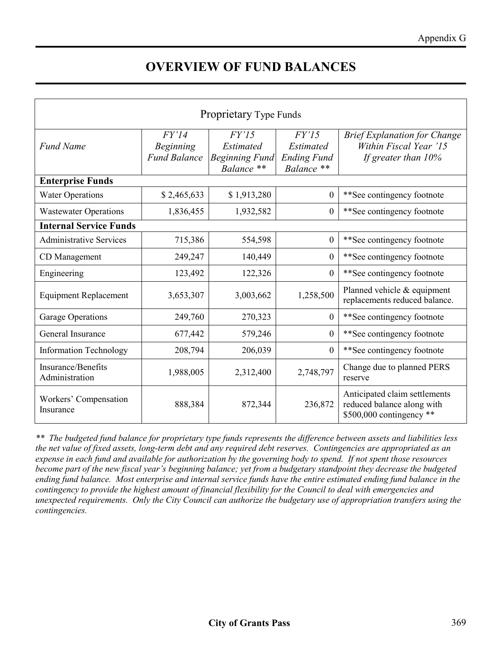## **OVERVIEW OF FUND BALANCES**

| Proprietary Type Funds               |                                                  |                                                                  |                                                        |                                                                                          |  |  |
|--------------------------------------|--------------------------------------------------|------------------------------------------------------------------|--------------------------------------------------------|------------------------------------------------------------------------------------------|--|--|
| <b>Fund Name</b>                     | FY'14<br><b>Beginning</b><br><b>Fund Balance</b> | FY'15<br><b>Estimated</b><br><b>Beginning Fund</b><br>Balance ** | FY'15<br>Estimated<br><b>Ending Fund</b><br>Balance ** | <b>Brief Explanation for Change</b><br>Within Fiscal Year '15<br>If greater than $10\%$  |  |  |
| <b>Enterprise Funds</b>              |                                                  |                                                                  |                                                        |                                                                                          |  |  |
| <b>Water Operations</b>              | \$2,465,633                                      | \$1,913,280                                                      | $\boldsymbol{0}$                                       | **See contingency footnote                                                               |  |  |
| <b>Wastewater Operations</b>         | 1,836,455                                        | 1,932,582                                                        | $\overline{0}$                                         | **See contingency footnote                                                               |  |  |
| <b>Internal Service Funds</b>        |                                                  |                                                                  |                                                        |                                                                                          |  |  |
| <b>Administrative Services</b>       | 715,386                                          | 554,598                                                          | $\boldsymbol{0}$                                       | **See contingency footnote                                                               |  |  |
| CD Management                        | 249,247                                          | 140,449                                                          | $\boldsymbol{0}$                                       | **See contingency footnote                                                               |  |  |
| Engineering                          | 123,492                                          | 122,326                                                          | $\overline{0}$                                         | **See contingency footnote                                                               |  |  |
| <b>Equipment Replacement</b>         | 3,653,307                                        | 3,003,662                                                        | 1,258,500                                              | Planned vehicle & equipment<br>replacements reduced balance.                             |  |  |
| <b>Garage Operations</b>             | 249,760                                          | 270,323                                                          | $\boldsymbol{0}$                                       | **See contingency footnote                                                               |  |  |
| General Insurance                    | 677,442                                          | 579,246                                                          | $\overline{0}$                                         | **See contingency footnote                                                               |  |  |
| <b>Information Technology</b>        | 208,794                                          | 206,039                                                          | $\overline{0}$                                         | **See contingency footnote                                                               |  |  |
| Insurance/Benefits<br>Administration | 1,988,005                                        | 2,312,400                                                        | 2,748,797                                              | Change due to planned PERS<br>reserve                                                    |  |  |
| Workers' Compensation<br>Insurance   | 888,384                                          | 872,344                                                          | 236,872                                                | Anticipated claim settlements<br>reduced balance along with<br>$$500,000$ contingency ** |  |  |

*\*\* The budgeted fund balance for proprietary type funds represents the difference between assets and liabilities less the net value of fixed assets, long-term debt and any required debt reserves. Contingencies are appropriated as an expense in each fund and available for authorization by the governing body to spend. If not spent those resources become part of the new fiscal year's beginning balance; yet from a budgetary standpoint they decrease the budgeted ending fund balance. Most enterprise and internal service funds have the entire estimated ending fund balance in the contingency to provide the highest amount of financial flexibility for the Council to deal with emergencies and unexpected requirements. Only the City Council can authorize the budgetary use of appropriation transfers using the contingencies.*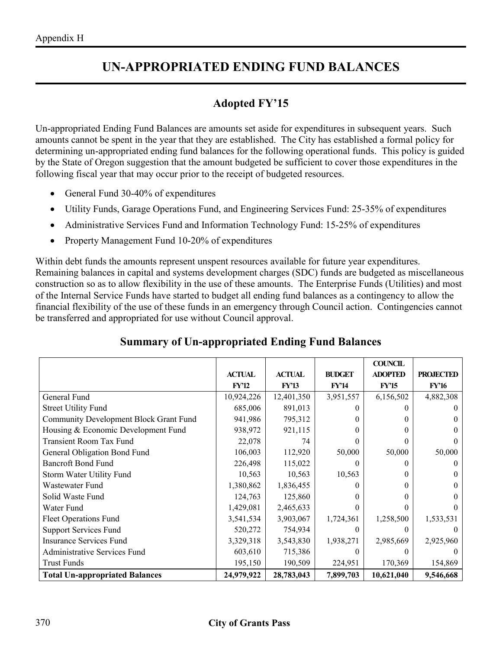#### **UN-APPROPRIATED ENDING FUND BALANCES**

#### **Adopted FY'15**

Un-appropriated Ending Fund Balances are amounts set aside for expenditures in subsequent years. Such amounts cannot be spent in the year that they are established. The City has established a formal policy for determining un-appropriated ending fund balances for the following operational funds. This policy is guided by the State of Oregon suggestion that the amount budgeted be sufficient to cover those expenditures in the following fiscal year that may occur prior to the receipt of budgeted resources.

- General Fund 30-40% of expenditures
- Utility Funds, Garage Operations Fund, and Engineering Services Fund: 25-35% of expenditures
- Administrative Services Fund and Information Technology Fund: 15-25% of expenditures
- Property Management Fund 10-20% of expenditures

Within debt funds the amounts represent unspent resources available for future year expenditures. Remaining balances in capital and systems development charges (SDC) funds are budgeted as miscellaneous construction so as to allow flexibility in the use of these amounts. The Enterprise Funds (Utilities) and most of the Internal Service Funds have started to budget all ending fund balances as a contingency to allow the financial flexibility of the use of these funds in an emergency through Council action. Contingencies cannot be transferred and appropriated for use without Council approval.

|                                               |               |               |               | <b>COUNCIL</b> |                  |
|-----------------------------------------------|---------------|---------------|---------------|----------------|------------------|
|                                               | <b>ACTUAL</b> | <b>ACTUAL</b> | <b>BUDGET</b> | <b>ADOPTED</b> | <b>PROJECTED</b> |
|                                               | <b>FY'12</b>  | <b>FY'13</b>  | <b>FY'14</b>  | <b>FY'15</b>   | <b>FY'16</b>     |
| General Fund                                  | 10,924,226    | 12,401,350    | 3,951,557     | 6,156,502      | 4,882,308        |
| <b>Street Utility Fund</b>                    | 685,006       | 891,013       |               |                |                  |
| <b>Community Development Block Grant Fund</b> | 941,986       | 795,312       | 0             |                |                  |
| Housing & Economic Development Fund           | 938,972       | 921,115       | 0             | $\mathbf{0}$   |                  |
| <b>Transient Room Tax Fund</b>                | 22,078        | 74            | 0             |                |                  |
| General Obligation Bond Fund                  | 106,003       | 112,920       | 50,000        | 50,000         | 50,000           |
| <b>Bancroft Bond Fund</b>                     | 226,498       | 115,022       |               |                |                  |
| Storm Water Utility Fund                      | 10,563        | 10,563        | 10,563        |                |                  |
| Wastewater Fund                               | 1,380,862     | 1,836,455     |               | 0              |                  |
| Solid Waste Fund                              | 124,763       | 125,860       | 0             |                |                  |
| Water Fund                                    | 1,429,081     | 2,465,633     | 0             |                |                  |
| Fleet Operations Fund                         | 3,541,534     | 3,903,067     | 1,724,361     | 1,258,500      | 1,533,531        |
| <b>Support Services Fund</b>                  | 520,272       | 754,934       | $\theta$      | $\theta$       |                  |
| <b>Insurance Services Fund</b>                | 3,329,318     | 3,543,830     | 1,938,271     | 2,985,669      | 2,925,960        |
| <b>Administrative Services Fund</b>           | 603,610       | 715,386       |               |                |                  |
| <b>Trust Funds</b>                            | 195,150       | 190,509       | 224,951       | 170,369        | 154,869          |
| <b>Total Un-appropriated Balances</b>         | 24,979,922    | 28,783,043    | 7,899,703     | 10,621,040     | 9,546,668        |

#### **Summary of Un-appropriated Ending Fund Balances**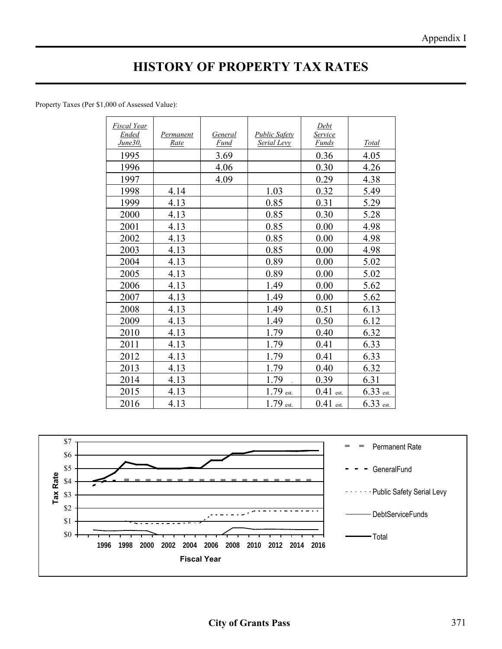## **HISTORY OF PROPERTY TAX RATES**

Property Taxes (Per \$1,000 of Assessed Value):

| Fiscal Year<br>Ended | Permanent | General | <b>Public Safety</b> | Debt<br>Service |              |
|----------------------|-----------|---------|----------------------|-----------------|--------------|
| June30,              | Rate      | Fund    | Serial Levy          | Funds           | <b>Total</b> |
| 1995                 |           | 3.69    |                      | 0.36            | 4.05         |
| 1996                 |           | 4.06    |                      | 0.30            | 4.26         |
| 1997                 |           | 4.09    |                      | 0.29            | 4.38         |
| 1998                 | 4.14      |         | 1.03                 | 0.32            | 5.49         |
| 1999                 | 4.13      |         | 0.85                 | 0.31            | 5.29         |
| 2000                 | 4.13      |         | 0.85                 | 0.30            | 5.28         |
| 2001                 | 4.13      |         | 0.85                 | 0.00            | 4.98         |
| 2002                 | 4.13      |         | 0.85                 | 0.00            | 4.98         |
| 2003                 | 4.13      |         | 0.85                 | 0.00            | 4.98         |
| 2004                 | 4.13      |         | 0.89                 | 0.00            | 5.02         |
| 2005                 | 4.13      |         | 0.89                 | 0.00            | 5.02         |
| 2006                 | 4.13      |         | 1.49                 | 0.00            | 5.62         |
| 2007                 | 4.13      |         | 1.49                 | 0.00            | 5.62         |
| 2008                 | 4.13      |         | 1.49                 | 0.51            | 6.13         |
| 2009                 | 4.13      |         | 1.49                 | 0.50            | 6.12         |
| 2010                 | 4.13      |         | 1.79                 | 0.40            | 6.32         |
| 2011                 | 4.13      |         | 1.79                 | 0.41            | 6.33         |
| 2012                 | 4.13      |         | 1.79                 | 0.41            | 6.33         |
| 2013                 | 4.13      |         | 1.79                 | 0.40            | 6.32         |
| 2014                 | 4.13      |         | 1.79                 | 0.39            | 6.31         |
| 2015                 | 4.13      |         | $1.79$ est.          | $0.41$ est.     | $6.33$ est.  |
| 2016                 | 4.13      |         | $1.79$ est.          | $0.41$ est.     | $6.33$ est.  |

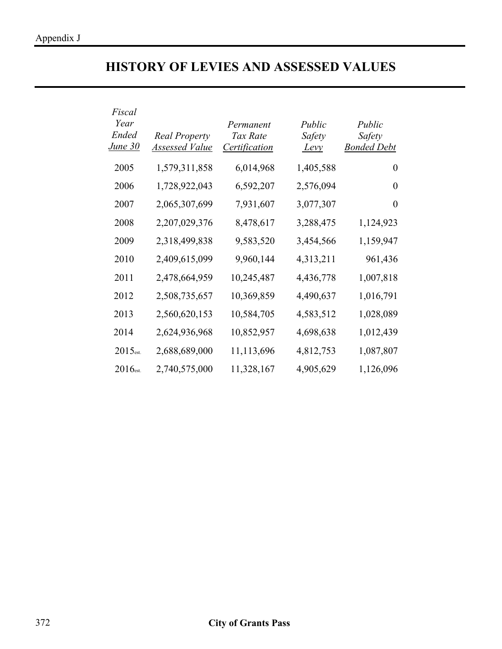## **HISTORY OF LEVIES AND ASSESSED VALUES**

| Fiscal<br>Year<br>Ended<br><b>June 30</b> | <b>Real Property</b><br><b>Assessed Value</b> | Permanent<br>Tax Rate<br><i><u><b>Certification</b></u></i> | Public<br>Safety<br><u>Levy</u> | Public<br>Safety<br><b>Bonded Debt</b> |
|-------------------------------------------|-----------------------------------------------|-------------------------------------------------------------|---------------------------------|----------------------------------------|
| 2005                                      | 1,579,311,858                                 | 6,014,968                                                   | 1,405,588                       | $\theta$                               |
| 2006                                      | 1,728,922,043                                 | 6,592,207                                                   | 2,576,094                       | $\Omega$                               |
| 2007                                      | 2,065,307,699                                 | 7,931,607                                                   | 3,077,307                       | $\theta$                               |
| 2008                                      | 2,207,029,376                                 | 8,478,617                                                   | 3,288,475                       | 1,124,923                              |
| 2009                                      | 2,318,499,838                                 | 9,583,520                                                   | 3,454,566                       | 1,159,947                              |
| 2010                                      | 2,409,615,099                                 | 9,960,144                                                   | 4,313,211                       | 961,436                                |
| 2011                                      | 2,478,664,959                                 | 10,245,487                                                  | 4,436,778                       | 1,007,818                              |
| 2012                                      | 2,508,735,657                                 | 10,369,859                                                  | 4,490,637                       | 1,016,791                              |
| 2013                                      | 2,560,620,153                                 | 10,584,705                                                  | 4,583,512                       | 1,028,089                              |
| 2014                                      | 2,624,936,968                                 | 10,852,957                                                  | 4,698,638                       | 1,012,439                              |
| 2015 <sub>est.</sub>                      | 2,688,689,000                                 | 11,113,696                                                  | 4,812,753                       | 1,087,807                              |
| $2016$ est.                               | 2,740,575,000                                 | 11,328,167                                                  | 4,905,629                       | 1,126,096                              |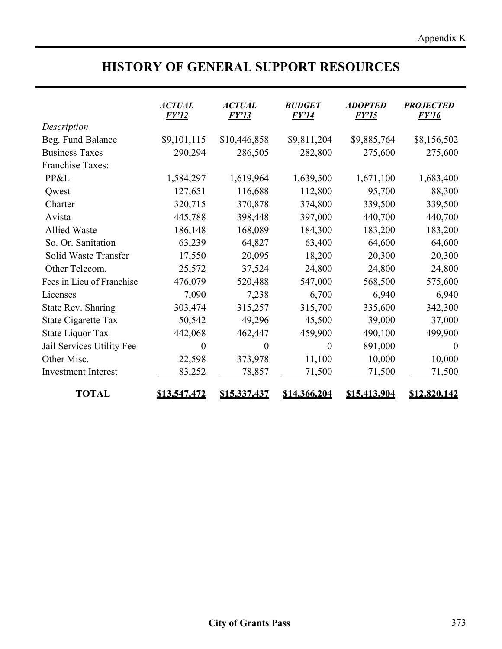## **HISTORY OF GENERAL SUPPORT RESOURCES**

|                            | <b>ACTUAL</b><br><b>FY'12</b> | <b>ACTUAL</b><br><b>FY'13</b> | <b>BUDGET</b><br><i>FY'14</i> | <b>ADOPTED</b><br><i>FY'15</i> | <b>PROJECTED</b><br><i>FY'16</i> |
|----------------------------|-------------------------------|-------------------------------|-------------------------------|--------------------------------|----------------------------------|
| Description                |                               |                               |                               |                                |                                  |
| Beg. Fund Balance          | \$9,101,115                   | \$10,446,858                  | \$9,811,204                   | \$9,885,764                    | \$8,156,502                      |
| <b>Business Taxes</b>      | 290,294                       | 286,505                       | 282,800                       | 275,600                        | 275,600                          |
| Franchise Taxes:           |                               |                               |                               |                                |                                  |
| PP&L                       | 1,584,297                     | 1,619,964                     | 1,639,500                     | 1,671,100                      | 1,683,400                        |
| Qwest                      | 127,651                       | 116,688                       | 112,800                       | 95,700                         | 88,300                           |
| Charter                    | 320,715                       | 370,878                       | 374,800                       | 339,500                        | 339,500                          |
| Avista                     | 445,788                       | 398,448                       | 397,000                       | 440,700                        | 440,700                          |
| <b>Allied Waste</b>        | 186,148                       | 168,089                       | 184,300                       | 183,200                        | 183,200                          |
| So. Or. Sanitation         | 63,239                        | 64,827                        | 63,400                        | 64,600                         | 64,600                           |
| Solid Waste Transfer       | 17,550                        | 20,095                        | 18,200                        | 20,300                         | 20,300                           |
| Other Telecom.             | 25,572                        | 37,524                        | 24,800                        | 24,800                         | 24,800                           |
| Fees in Lieu of Franchise  | 476,079                       | 520,488                       | 547,000                       | 568,500                        | 575,600                          |
| Licenses                   | 7,090                         | 7,238                         | 6,700                         | 6,940                          | 6,940                            |
| <b>State Rev. Sharing</b>  | 303,474                       | 315,257                       | 315,700                       | 335,600                        | 342,300                          |
| State Cigarette Tax        | 50,542                        | 49,296                        | 45,500                        | 39,000                         | 37,000                           |
| State Liquor Tax           | 442,068                       | 462,447                       | 459,900                       | 490,100                        | 499,900                          |
| Jail Services Utility Fee  | $\theta$                      | 0                             | $\theta$                      | 891,000                        | $\theta$                         |
| Other Misc.                | 22,598                        | 373,978                       | 11,100                        | 10,000                         | 10,000                           |
| <b>Investment Interest</b> | 83,252                        | 78,857                        | 71,500                        | 71,500                         | 71,500                           |
| <b>TOTAL</b>               | \$13,547,472                  | <u>\$15,337,437</u>           | <u>\$14,366,204</u>           | \$15,413,904                   | <u>\$12,820,142</u>              |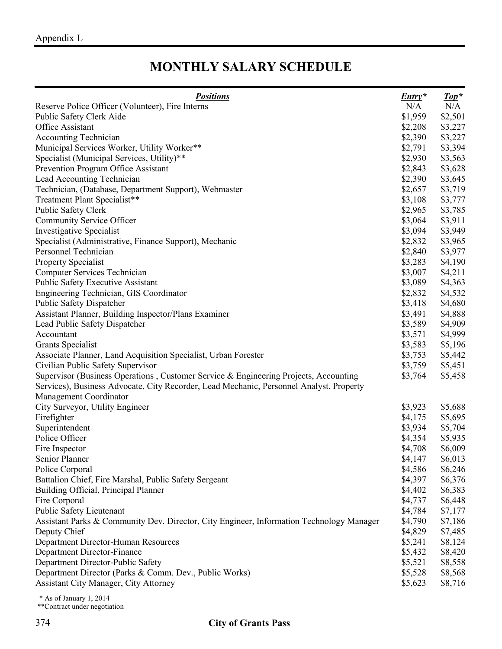## **MONTHLY SALARY SCHEDULE**

| <b>Positions</b>                                                                         | $Entry*$ | $\mathit{Top}^*$ |
|------------------------------------------------------------------------------------------|----------|------------------|
| Reserve Police Officer (Volunteer), Fire Interns                                         | N/A      | N/A              |
| Public Safety Clerk Aide                                                                 | \$1,959  | \$2,501          |
| Office Assistant                                                                         | \$2,208  | \$3,227          |
| <b>Accounting Technician</b>                                                             | \$2,390  | \$3,227          |
| Municipal Services Worker, Utility Worker**                                              | \$2,791  | \$3,394          |
| Specialist (Municipal Services, Utility)**                                               | \$2,930  | \$3,563          |
| Prevention Program Office Assistant                                                      | \$2,843  | \$3,628          |
| Lead Accounting Technician                                                               | \$2,390  | \$3,645          |
| Technician, (Database, Department Support), Webmaster                                    | \$2,657  | \$3,719          |
| Treatment Plant Specialist**                                                             | \$3,108  | \$3,777          |
| Public Safety Clerk                                                                      | \$2,965  | \$3,785          |
| Community Service Officer                                                                | \$3,064  | \$3,911          |
| <b>Investigative Specialist</b>                                                          | \$3,094  | \$3,949          |
| Specialist (Administrative, Finance Support), Mechanic                                   | \$2,832  | \$3,965          |
| Personnel Technician                                                                     | \$2,840  | \$3,977          |
| <b>Property Specialist</b>                                                               | \$3,283  | \$4,190          |
| Computer Services Technician                                                             | \$3,007  | \$4,211          |
| <b>Public Safety Executive Assistant</b>                                                 | \$3,089  | \$4,363          |
| Engineering Technician, GIS Coordinator                                                  | \$2,832  | \$4,532          |
| Public Safety Dispatcher                                                                 | \$3,418  | \$4,680          |
| Assistant Planner, Building Inspector/Plans Examiner                                     | \$3,491  | \$4,888          |
| Lead Public Safety Dispatcher                                                            | \$3,589  | \$4,909          |
| Accountant                                                                               | \$3,571  | \$4,999          |
| <b>Grants Specialist</b>                                                                 | \$3,583  | \$5,196          |
| Associate Planner, Land Acquisition Specialist, Urban Forester                           | \$3,753  | \$5,442          |
| Civilian Public Safety Supervisor                                                        | \$3,759  | \$5,451          |
| Supervisor (Business Operations, Customer Service & Engineering Projects, Accounting     | \$3,764  | \$5,458          |
| Services), Business Advocate, City Recorder, Lead Mechanic, Personnel Analyst, Property  |          |                  |
| Management Coordinator                                                                   |          |                  |
| City Surveyor, Utility Engineer                                                          | \$3,923  | \$5,688          |
| Firefighter                                                                              | \$4,175  | \$5,695          |
| Superintendent                                                                           | \$3,934  | \$5,704          |
| Police Officer                                                                           | \$4,354  | \$5,935          |
| Fire Inspector                                                                           | \$4,708  | \$6,009          |
| Senior Planner                                                                           | \$4,147  | \$6,013          |
| Police Corporal                                                                          | \$4,586  | \$6,246          |
| Battalion Chief, Fire Marshal, Public Safety Sergeant                                    | \$4,397  | \$6,376          |
| Building Official, Principal Planner                                                     | \$4,402  | \$6,383          |
| Fire Corporal                                                                            | \$4,737  | \$6,448          |
| Public Safety Lieutenant                                                                 | \$4,784  | \$7,177          |
| Assistant Parks & Community Dev. Director, City Engineer, Information Technology Manager | \$4,790  | \$7,186          |
| Deputy Chief                                                                             | \$4,829  | \$7,485          |
| Department Director-Human Resources                                                      | \$5,241  | \$8,124          |
| Department Director-Finance                                                              | \$5,432  | \$8,420          |
| Department Director-Public Safety                                                        | \$5,521  | \$8,558          |
| Department Director (Parks & Comm. Dev., Public Works)                                   | \$5,528  | \$8,568          |
| <b>Assistant City Manager, City Attorney</b>                                             | \$5,623  | \$8,716          |

\* As of January 1, 2014

\*\*Contract under negotiation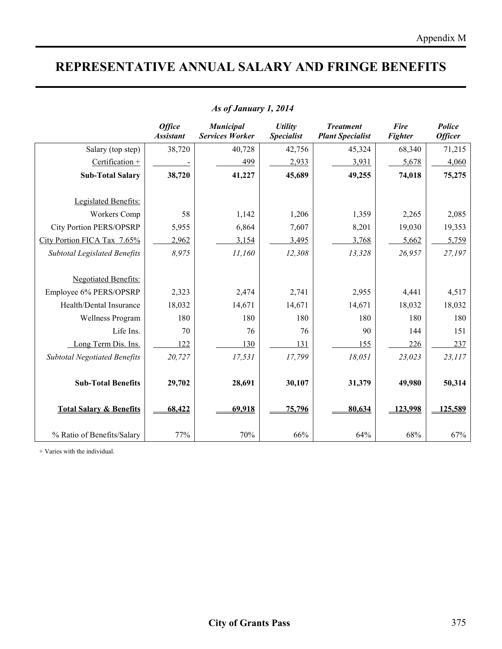## **REPRESENTATIVE ANNUAL SALARY AND FRINGE BENEFITS**

|                                     | <b>Office</b><br><b>Assistant</b> | <b>Municipal</b><br><b>Services Worker</b> | <b>Utility</b><br><b>Specialist</b> | <b>Treatment</b><br><b>Plant Specialist</b> | <b>Fire</b><br><b>Fighter</b> | Police<br><b>Officer</b> |
|-------------------------------------|-----------------------------------|--------------------------------------------|-------------------------------------|---------------------------------------------|-------------------------------|--------------------------|
| Salary (top step)                   | 38,720                            | 40,728                                     | 42,756                              | 45,324                                      | 68,340                        | 71,215                   |
| Certification +                     |                                   | 499                                        | 2,933                               | 3,931                                       | 5,678                         | 4,060                    |
| <b>Sub-Total Salary</b>             | 38,720                            | 41,227                                     | 45,689                              | 49,255                                      | 74,018                        | 75,275                   |
|                                     |                                   |                                            |                                     |                                             |                               |                          |
| Legislated Benefits:                |                                   |                                            |                                     |                                             |                               |                          |
| <b>Workers Comp</b>                 | 58                                | 1,142                                      | 1,206                               | 1,359                                       | 2,265                         | 2,085                    |
| <b>City Portion PERS/OPSRP</b>      | 5,955                             | 6,864                                      | 7,607                               | 8,201                                       | 19,030                        | 19,353                   |
| City Portion FICA Tax 7.65%         | 2,962                             | 3,154                                      | 3,495                               | 3,768                                       | 5,662                         | 5,759                    |
| <b>Subtotal Legislated Benefits</b> | 8,975                             | 11,160                                     | 12,308                              | 13,328                                      | 26,957                        | 27,197                   |
|                                     |                                   |                                            |                                     |                                             |                               |                          |
| <b>Negotiated Benefits:</b>         |                                   |                                            |                                     |                                             |                               |                          |
| Employee 6% PERS/OPSRP              | 2,323                             | 2,474                                      | 2,741                               | 2,955                                       | 4,441                         | 4,517                    |
| Health/Dental Insurance             | 18,032                            | 14,671                                     | 14,671                              | 14,671                                      | 18,032                        | 18,032                   |
| <b>Wellness Program</b>             | 180                               | 180                                        | 180                                 | 180                                         | 180                           | 180                      |
| Life Ins.                           | 70                                | 76                                         | 76                                  | 90                                          | 144                           | 151                      |
| Long Term Dis. Ins.                 | 122                               | 130                                        | 131                                 | 155                                         | 226                           | 237                      |
| <b>Subtotal Negotiated Benefits</b> | 20,727                            | 17,531                                     | 17,799                              | 18,051                                      | 23,023                        | 23,117                   |
|                                     |                                   |                                            |                                     |                                             |                               |                          |
| <b>Sub-Total Benefits</b>           | 29,702                            | 28,691                                     | 30,107                              | 31,379                                      | 49,980                        | 50,314                   |
|                                     |                                   |                                            |                                     |                                             |                               |                          |
| <b>Total Salary &amp; Benefits</b>  | 68,422                            | 69,918                                     | 75,796                              | 80,634                                      | 123,998                       | 125,589                  |
|                                     |                                   |                                            |                                     |                                             |                               |                          |
| % Ratio of Benefits/Salary          | 77%                               | 70%                                        | 66%                                 | 64%                                         | 68%                           | 67%                      |

#### *As of January 1, 2014*

+ Varies with the individual.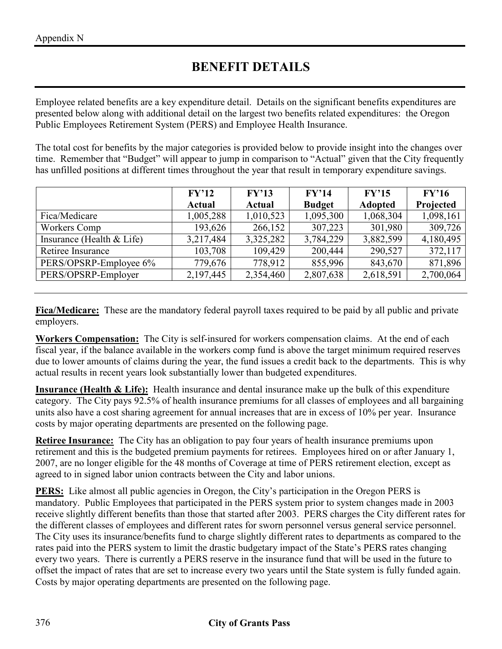## **BENEFIT DETAILS**

Employee related benefits are a key expenditure detail. Details on the significant benefits expenditures are presented below along with additional detail on the largest two benefits related expenditures: the Oregon Public Employees Retirement System (PERS) and Employee Health Insurance.

The total cost for benefits by the major categories is provided below to provide insight into the changes over time. Remember that "Budget" will appear to jump in comparison to "Actual" given that the City frequently has unfilled positions at different times throughout the year that result in temporary expenditure savings.

|                             | FY'12         | FY'13         | FY'14         | FY'15          | FY'16     |
|-----------------------------|---------------|---------------|---------------|----------------|-----------|
|                             | <b>Actual</b> | <b>Actual</b> | <b>Budget</b> | <b>Adopted</b> | Projected |
| Fica/Medicare               | 1,005,288     | 1,010,523     | 1,095,300     | 1,068,304      | 1,098,161 |
| Workers Comp                | 193,626       | 266,152       | 307,223       | 301,980        | 309,726   |
| Insurance (Health $<$ Life) | 3,217,484     | 3,325,282     | 3,784,229     | 3,882,599      | 4,180,495 |
| Retiree Insurance           | 103,708       | 109,429       | 200,444       | 290,527        | 372,117   |
| PERS/OPSRP-Employee 6%      | 779,676       | 778,912       | 855,996       | 843,670        | 871,896   |
| PERS/OPSRP-Employer         | 2,197,445     | 2,354,460     | 2,807,638     | 2,618,591      | 2,700,064 |

**Fica/Medicare:** These are the mandatory federal payroll taxes required to be paid by all public and private employers.

**Workers Compensation:** The City is self-insured for workers compensation claims. At the end of each fiscal year, if the balance available in the workers comp fund is above the target minimum required reserves due to lower amounts of claims during the year, the fund issues a credit back to the departments. This is why actual results in recent years look substantially lower than budgeted expenditures.

**Insurance (Health & Life):** Health insurance and dental insurance make up the bulk of this expenditure category. The City pays 92.5% of health insurance premiums for all classes of employees and all bargaining units also have a cost sharing agreement for annual increases that are in excess of 10% per year. Insurance costs by major operating departments are presented on the following page.

**Retiree Insurance:** The City has an obligation to pay four years of health insurance premiums upon retirement and this is the budgeted premium payments for retirees. Employees hired on or after January 1, 2007, are no longer eligible for the 48 months of Coverage at time of PERS retirement election, except as agreed to in signed labor union contracts between the City and labor unions.

**PERS:** Like almost all public agencies in Oregon, the City's participation in the Oregon PERS is mandatory. Public Employees that participated in the PERS system prior to system changes made in 2003 receive slightly different benefits than those that started after 2003. PERS charges the City different rates for the different classes of employees and different rates for sworn personnel versus general service personnel. The City uses its insurance/benefits fund to charge slightly different rates to departments as compared to the rates paid into the PERS system to limit the drastic budgetary impact of the State's PERS rates changing every two years. There is currently a PERS reserve in the insurance fund that will be used in the future to offset the impact of rates that are set to increase every two years until the State system is fully funded again. Costs by major operating departments are presented on the following page.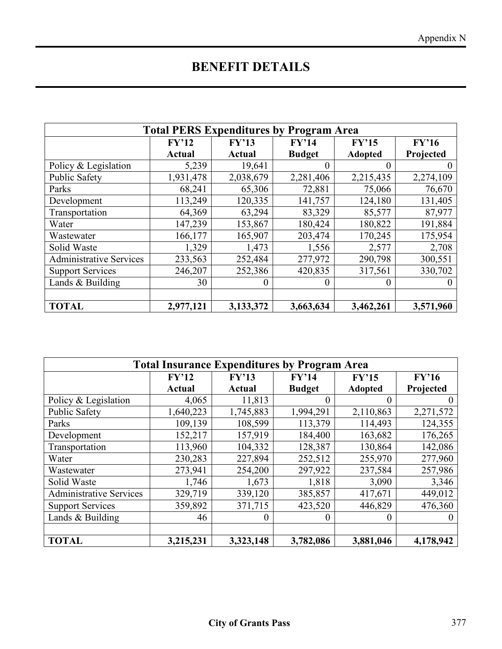## **BENEFIT DETAILS**

| <b>Total PERS Expenditures by Program Area</b> |               |               |               |                |           |  |
|------------------------------------------------|---------------|---------------|---------------|----------------|-----------|--|
|                                                | FY'12         | FY'13         | FY'14         | FY'15          | FY'16     |  |
|                                                | <b>Actual</b> | <b>Actual</b> | <b>Budget</b> | <b>Adopted</b> | Projected |  |
| Policy & Legislation                           | 5,239         | 19,641        |               | 0              |           |  |
| <b>Public Safety</b>                           | 1,931,478     | 2,038,679     | 2,281,406     | 2,215,435      | 2,274,109 |  |
| Parks                                          | 68,241        | 65,306        | 72,881        | 75,066         | 76,670    |  |
| Development                                    | 113,249       | 120,335       | 141,757       | 124,180        | 131,405   |  |
| Transportation                                 | 64,369        | 63,294        | 83,329        | 85,577         | 87,977    |  |
| Water                                          | 147,239       | 153,867       | 180,424       | 180,822        | 191,884   |  |
| Wastewater                                     | 166,177       | 165,907       | 203,474       | 170,245        | 175,954   |  |
| Solid Waste                                    | 1,329         | 1,473         | 1,556         | 2,577          | 2,708     |  |
| <b>Administrative Services</b>                 | 233,563       | 252,484       | 277,972       | 290,798        | 300,551   |  |
| <b>Support Services</b>                        | 246,207       | 252,386       | 420,835       | 317,561        | 330,702   |  |
| Lands $&$ Building                             | 30            | 0             |               | 0              | $\theta$  |  |
|                                                |               |               |               |                |           |  |
| <b>TOTAL</b>                                   | 2,977,121     | 3,133,372     | 3,663,634     | 3,462,261      | 3,571,960 |  |

| <b>Total Insurance Expenditures by Program Area</b> |               |               |               |                |           |  |
|-----------------------------------------------------|---------------|---------------|---------------|----------------|-----------|--|
|                                                     | FY'12         | FY'13         | FY'14         | FY'15          | FY'16     |  |
|                                                     | <b>Actual</b> | <b>Actual</b> | <b>Budget</b> | <b>Adopted</b> | Projected |  |
| Policy & Legislation                                | 4,065         | 11,813        |               |                |           |  |
| <b>Public Safety</b>                                | 1,640,223     | 1,745,883     | 1,994,291     | 2,110,863      | 2,271,572 |  |
| Parks                                               | 109,139       | 108,599       | 113,379       | 114,493        | 124,355   |  |
| Development                                         | 152,217       | 157,919       | 184,400       | 163,682        | 176,265   |  |
| Transportation                                      | 113,960       | 104,332       | 128,387       | 130,864        | 142,086   |  |
| Water                                               | 230,283       | 227,894       | 252,512       | 255,970        | 277,960   |  |
| Wastewater                                          | 273,941       | 254,200       | 297,922       | 237,584        | 257,986   |  |
| Solid Waste                                         | 1,746         | 1,673         | 1,818         | 3,090          | 3,346     |  |
| <b>Administrative Services</b>                      | 329,719       | 339,120       | 385,857       | 417,671        | 449,012   |  |
| <b>Support Services</b>                             | 359,892       | 371,715       | 423,520       | 446,829        | 476,360   |  |
| Lands $&$ Building                                  | 46            | $\theta$      | 0             | 0              | $\theta$  |  |
|                                                     |               |               |               |                |           |  |
| <b>TOTAL</b>                                        | 3,215,231     | 3,323,148     | 3,782,086     | 3,881,046      | 4,178,942 |  |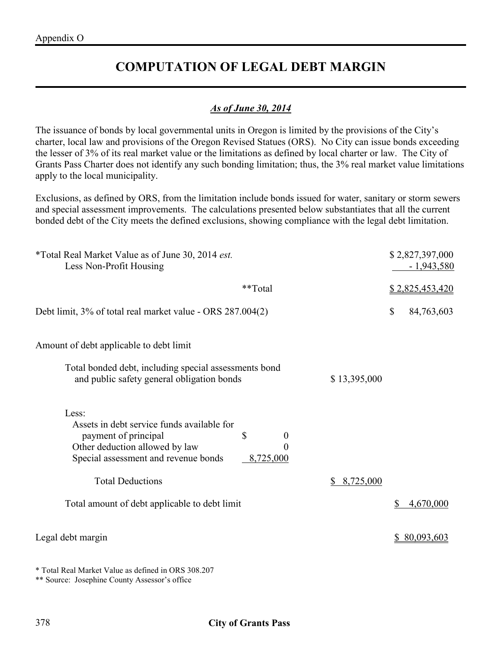## **COMPUTATION OF LEGAL DEBT MARGIN**

#### *As of June 30, 2014*

The issuance of bonds by local governmental units in Oregon is limited by the provisions of the City's charter, local law and provisions of the Oregon Revised Statues (ORS). No City can issue bonds exceeding the lesser of 3% of its real market value or the limitations as defined by local charter or law. The City of Grants Pass Charter does not identify any such bonding limitation; thus, the 3% real market value limitations apply to the local municipality.

Exclusions, as defined by ORS, from the limitation include bonds issued for water, sanitary or storm sewers and special assessment improvements. The calculations presented below substantiates that all the current bonded debt of the City meets the defined exclusions, showing compliance with the legal debt limitation.

| <i>*Total Real Market Value as of June 30, 2014 est.</i><br>Less Non-Profit Housing                                                                                                               |                 | \$2,827,397,000<br>$-1,943,580$ |  |
|---------------------------------------------------------------------------------------------------------------------------------------------------------------------------------------------------|-----------------|---------------------------------|--|
| **Total                                                                                                                                                                                           |                 | \$2,825,453,420                 |  |
| Debt limit, 3% of total real market value - ORS 287.004(2)                                                                                                                                        |                 | \$<br>84,763,603                |  |
| Amount of debt applicable to debt limit                                                                                                                                                           |                 |                                 |  |
| Total bonded debt, including special assessments bond<br>and public safety general obligation bonds                                                                                               | \$13,395,000    |                                 |  |
| Less:<br>Assets in debt service funds available for<br>\$<br>payment of principal<br>$\boldsymbol{0}$<br>Other deduction allowed by law<br>0<br>Special assessment and revenue bonds<br>8,725,000 |                 |                                 |  |
| <b>Total Deductions</b>                                                                                                                                                                           | 8,725,000<br>\$ |                                 |  |
| Total amount of debt applicable to debt limit                                                                                                                                                     |                 | 4,670,000<br>\$                 |  |
| Legal debt margin                                                                                                                                                                                 |                 | \$80,093,603                    |  |

\* Total Real Market Value as defined in ORS 308.207

\*\* Source: Josephine County Assessor's office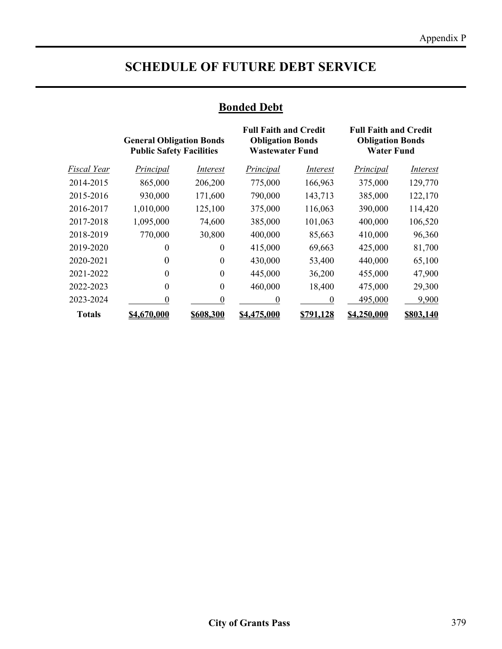## **SCHEDULE OF FUTURE DEBT SERVICE**

#### **Bonded Debt**

|               | <b>General Obligation Bonds</b><br><b>Public Safety Facilities</b> |           | <b>Full Faith and Credit</b><br><b>Obligation Bonds</b><br><b>Wastewater Fund</b> |                  | <b>Full Faith and Credit</b><br><b>Obligation Bonds</b><br><b>Water Fund</b> |           |
|---------------|--------------------------------------------------------------------|-----------|-----------------------------------------------------------------------------------|------------------|------------------------------------------------------------------------------|-----------|
| Fiscal Year   | Principal                                                          | Interest  | Principal                                                                         | Interest         | Principal                                                                    | Interest  |
| 2014-2015     | 865,000                                                            | 206,200   | 775,000                                                                           | 166,963          | 375,000                                                                      | 129,770   |
| 2015-2016     | 930,000                                                            | 171,600   | 790,000                                                                           | 143,713          | 385,000                                                                      | 122,170   |
| 2016-2017     | 1,010,000                                                          | 125,100   | 375,000                                                                           | 116,063          | 390,000                                                                      | 114,420   |
| 2017-2018     | 1,095,000                                                          | 74,600    | 385,000                                                                           | 101,063          | 400,000                                                                      | 106,520   |
| 2018-2019     | 770,000                                                            | 30,800    | 400,000                                                                           | 85,663           | 410,000                                                                      | 96,360    |
| 2019-2020     | 0                                                                  | 0         | 415,000                                                                           | 69,663           | 425,000                                                                      | 81,700    |
| 2020-2021     | $\theta$                                                           | $\theta$  | 430,000                                                                           | 53,400           | 440,000                                                                      | 65,100    |
| 2021-2022     | $\Omega$                                                           | $\Omega$  | 445,000                                                                           | 36,200           | 455,000                                                                      | 47,900    |
| 2022-2023     | $\theta$                                                           | $\theta$  | 460,000                                                                           | 18,400           | 475,000                                                                      | 29,300    |
| 2023-2024     | 0                                                                  |           | 0                                                                                 | $\Omega$         | 495,000                                                                      | 9,900     |
| <b>Totals</b> | \$4,670,000                                                        | \$608.300 | \$4,475,000                                                                       | <u>\$791.128</u> | \$4,250,000                                                                  | \$803.140 |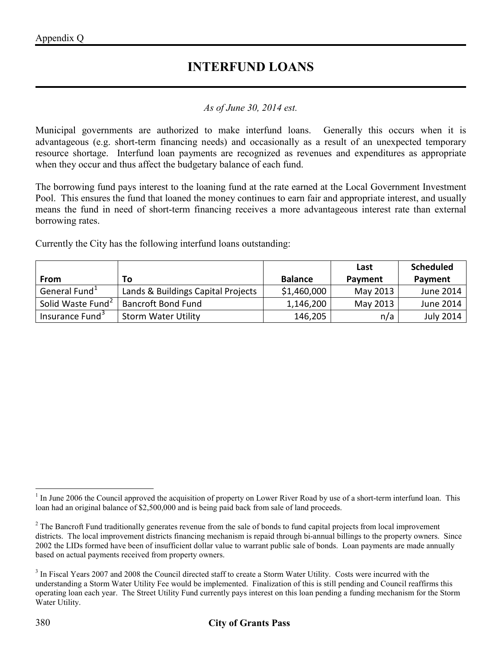#### **INTERFUND LOANS**

#### *As of June 30, 2014 est.*

Municipal governments are authorized to make interfund loans. Generally this occurs when it is advantageous (e.g. short-term financing needs) and occasionally as a result of an unexpected temporary resource shortage. Interfund loan payments are recognized as revenues and expenditures as appropriate when they occur and thus affect the budgetary balance of each fund.

The borrowing fund pays interest to the loaning fund at the rate earned at the Local Government Investment Pool. This ensures the fund that loaned the money continues to earn fair and appropriate interest, and usually means the fund in need of short-term financing receives a more advantageous interest rate than external borrowing rates.

Currently the City has the following interfund loans outstanding:

|                               |                                    |                | Last     | <b>Scheduled</b> |
|-------------------------------|------------------------------------|----------------|----------|------------------|
| From                          | Τo                                 | <b>Balance</b> | Payment  | Payment          |
| General Fund <sup>1</sup>     | Lands & Buildings Capital Projects | \$1,460,000    | May 2013 | June 2014        |
| Solid Waste Fund <sup>2</sup> | <b>Bancroft Bond Fund</b>          | 1,146,200      | May 2013 | June 2014        |
| Insurance Fund <sup>3</sup>   | <b>Storm Water Utility</b>         | 146,205        | n/a      | July 2014        |

<span id="page-19-0"></span> $1$  In June 2006 the Council approved the acquisition of property on Lower River Road by use of a short-term interfund loan. This loan had an original balance of \$2,500,000 and is being paid back from sale of land proceeds.  $\overline{a}$ 

<span id="page-19-1"></span> $2^2$  The Bancroft Fund traditionally generates revenue from the sale of bonds to fund capital projects from local improvement districts. The local improvement districts financing mechanism is repaid through bi-annual billings to the property owners. Since 2002 the LIDs formed have been of insufficient dollar value to warrant public sale of bonds. Loan payments are made annually based on actual payments received from property owners.

<span id="page-19-2"></span><sup>&</sup>lt;sup>3</sup> In Fiscal Years 2007 and 2008 the Council directed staff to create a Storm Water Utility. Costs were incurred with the understanding a Storm Water Utility Fee would be implemented. Finalization of this is still pending and Council reaffirms this operating loan each year. The Street Utility Fund currently pays interest on this loan pending a funding mechanism for the Storm Water Utility.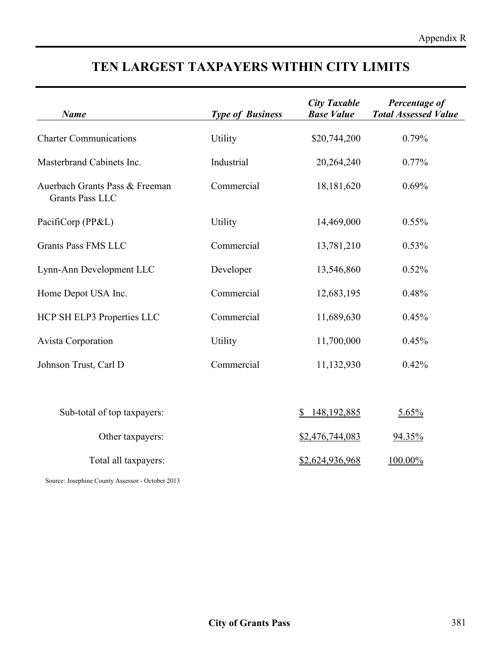## **TEN LARGEST TAXPAYERS WITHIN CITY LIMITS**

| <b>Name</b>                                              | <b>Type of Business</b> | <b>City Taxable</b><br><b>Base Value</b> | Percentage of<br><b>Total Assessed Value</b> |
|----------------------------------------------------------|-------------------------|------------------------------------------|----------------------------------------------|
| <b>Charter Communications</b>                            | Utility                 | \$20,744,200                             | 0.79%                                        |
| Masterbrand Cabinets Inc.                                | Industrial              | 20,264,240                               | $0.77\%$                                     |
| Auerbach Grants Pass & Freeman<br><b>Grants Pass LLC</b> | Commercial              | 18,181,620                               | 0.69%                                        |
| PacifiCorp (PP&L)                                        | Utility                 | 14,469,000                               | 0.55%                                        |
| <b>Grants Pass FMS LLC</b>                               | Commercial              | 13,781,210                               | 0.53%                                        |
| Lynn-Ann Development LLC                                 | Developer               | 13,546,860                               | 0.52%                                        |
| Home Depot USA Inc.                                      | Commercial              | 12,683,195                               | 0.48%                                        |
| HCP SH ELP3 Properties LLC                               | Commercial              | 11,689,630                               | 0.45%                                        |
| <b>Avista Corporation</b>                                | Utility                 | 11,700,000                               | 0.45%                                        |
| Johnson Trust, Carl D                                    | Commercial              | 11,132,930                               | 0.42%                                        |
| Sub-total of top taxpayers:                              |                         | 148, 192, 885<br>\$                      | 5.65%                                        |
| Other taxpayers:                                         |                         | \$2,476,744,083                          | 94.35%                                       |
| Total all taxpayers:                                     |                         | \$2,624,936,968                          | 100.00%                                      |
| Source: Josephine County Assessor - October 2013         |                         |                                          |                                              |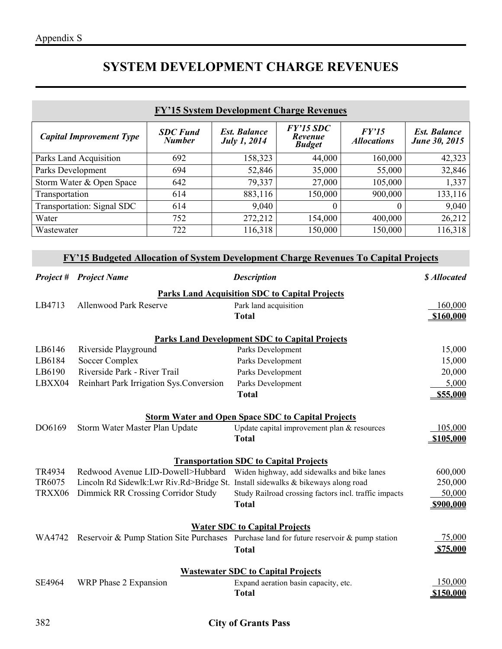## **SYSTEM DEVELOPMENT CHARGE REVENUES**

| <b>FY'15 System Development Charge Revenues</b>                                                                                   |                                   |                                                                                    |                                            |                                                       |                             |                                             |  |  |
|-----------------------------------------------------------------------------------------------------------------------------------|-----------------------------------|------------------------------------------------------------------------------------|--------------------------------------------|-------------------------------------------------------|-----------------------------|---------------------------------------------|--|--|
|                                                                                                                                   | <b>Capital Improvement Type</b>   | <b>SDC</b> Fund<br><b>Number</b>                                                   | <b>Est. Balance</b><br><b>July 1, 2014</b> | $FY'15$ SDC<br>Revenue<br><b>Budget</b>               | FY'15<br><b>Allocations</b> | <b>Est. Balance</b><br><b>June 30, 2015</b> |  |  |
| Parks Land Acquisition                                                                                                            |                                   | 692                                                                                | 158,323                                    | 44,000                                                | 160,000                     | 42,323                                      |  |  |
| Parks Development                                                                                                                 |                                   | 694                                                                                | 52,846                                     | 35,000                                                | 55,000                      | 32,846                                      |  |  |
|                                                                                                                                   | Storm Water & Open Space          | 642                                                                                | 79,337                                     | 27,000                                                | 105,000                     | 1,337                                       |  |  |
| Transportation                                                                                                                    |                                   | 614                                                                                | 883,116                                    | 150,000                                               | 900,000                     | 133,116                                     |  |  |
|                                                                                                                                   | <b>Transportation: Signal SDC</b> | 614                                                                                | 9,040                                      | $\boldsymbol{0}$                                      | $\overline{0}$              | 9,040                                       |  |  |
| Water                                                                                                                             |                                   | 752                                                                                | 272,212                                    | 154,000                                               | 400,000                     | 26,212                                      |  |  |
| Wastewater                                                                                                                        |                                   | 722                                                                                | 116,318                                    | 150,000                                               | 150,000                     | 116,318                                     |  |  |
| FY'15 Budgeted Allocation of System Development Charge Revenues To Capital Projects                                               |                                   |                                                                                    |                                            |                                                       |                             |                                             |  |  |
| <b>Project</b> #                                                                                                                  | <b>Project Name</b>               |                                                                                    | <b>Description</b>                         |                                                       |                             | \$ Allocated                                |  |  |
|                                                                                                                                   |                                   |                                                                                    |                                            | <b>Parks Land Acquisition SDC to Capital Projects</b> |                             |                                             |  |  |
| LB4713                                                                                                                            | <b>Allenwood Park Reserve</b>     |                                                                                    | Park land acquisition                      |                                                       |                             | 160,000                                     |  |  |
|                                                                                                                                   |                                   |                                                                                    | <b>Total</b>                               |                                                       |                             | \$160,000                                   |  |  |
|                                                                                                                                   |                                   |                                                                                    |                                            |                                                       |                             |                                             |  |  |
| LB6146                                                                                                                            | Riverside Playground              |                                                                                    | Parks Development                          | <b>Parks Land Development SDC to Capital Projects</b> |                             | 15,000                                      |  |  |
| LB6184                                                                                                                            | Soccer Complex                    |                                                                                    | Parks Development                          |                                                       |                             | 15,000                                      |  |  |
| LB6190                                                                                                                            | Riverside Park - River Trail      |                                                                                    |                                            | Parks Development                                     |                             |                                             |  |  |
| LBXX04                                                                                                                            |                                   | Reinhart Park Irrigation Sys.Conversion                                            |                                            | Parks Development                                     |                             |                                             |  |  |
|                                                                                                                                   | <b>Total</b>                      |                                                                                    |                                            |                                                       | 5,000<br>\$55,000           |                                             |  |  |
|                                                                                                                                   |                                   |                                                                                    |                                            |                                                       |                             |                                             |  |  |
| <b>Storm Water and Open Space SDC to Capital Projects</b>                                                                         |                                   |                                                                                    |                                            |                                                       |                             |                                             |  |  |
| DO6169                                                                                                                            | Storm Water Master Plan Update    |                                                                                    |                                            | Update capital improvement plan & resources           |                             | 105,000                                     |  |  |
| <b>Total</b>                                                                                                                      |                                   |                                                                                    |                                            |                                                       | \$105,000                   |                                             |  |  |
| <b>Transportation SDC to Capital Projects</b>                                                                                     |                                   |                                                                                    |                                            |                                                       |                             |                                             |  |  |
| TR4934                                                                                                                            |                                   | Redwood Avenue LID-Dowell>Hubbard Widen highway, add sidewalks and bike lanes      |                                            |                                                       |                             | 600,000                                     |  |  |
| TR6075                                                                                                                            |                                   | Lincoln Rd Sidewlk: Lwr Riv. Rd>Bridge St. Install sidewalks & bikeways along road |                                            |                                                       |                             | 250,000                                     |  |  |
| TRXX06                                                                                                                            |                                   | Dimmick RR Crossing Corridor Study                                                 |                                            | Study Railroad crossing factors incl. traffic impacts |                             | 50,000                                      |  |  |
|                                                                                                                                   |                                   |                                                                                    | <b>Total</b>                               |                                                       |                             | \$900,000                                   |  |  |
|                                                                                                                                   |                                   |                                                                                    |                                            |                                                       |                             |                                             |  |  |
| <b>Water SDC to Capital Projects</b><br>Reservoir & Pump Station Site Purchases Purchase land for future reservoir & pump station |                                   |                                                                                    |                                            |                                                       |                             |                                             |  |  |
| WA4742                                                                                                                            |                                   |                                                                                    |                                            |                                                       |                             | 75,000                                      |  |  |
|                                                                                                                                   |                                   |                                                                                    | <b>Total</b>                               |                                                       |                             | <b>\$75,000</b>                             |  |  |
| <b>Wastewater SDC to Capital Projects</b>                                                                                         |                                   |                                                                                    |                                            |                                                       |                             |                                             |  |  |
| SE4964                                                                                                                            | WRP Phase 2 Expansion             |                                                                                    |                                            | Expand aeration basin capacity, etc.                  |                             | 150,000                                     |  |  |
|                                                                                                                                   |                                   |                                                                                    | <b>Total</b>                               |                                                       |                             | \$150,000                                   |  |  |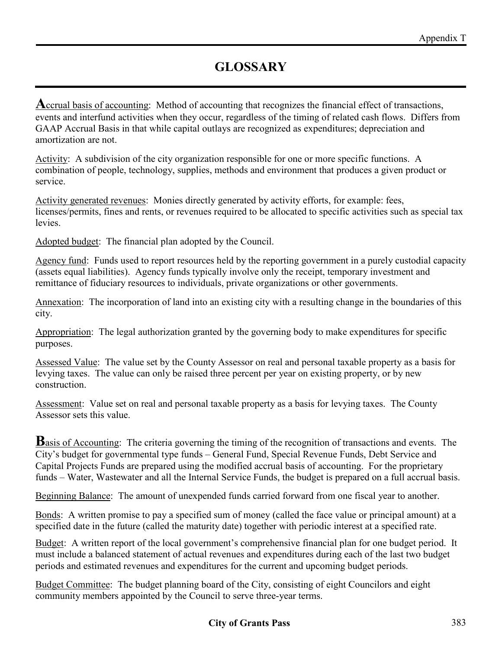**A**ccrual basis of accounting: Method of accounting that recognizes the financial effect of transactions, events and interfund activities when they occur, regardless of the timing of related cash flows. Differs from GAAP Accrual Basis in that while capital outlays are recognized as expenditures; depreciation and amortization are not.

Activity: A subdivision of the city organization responsible for one or more specific functions. A combination of people, technology, supplies, methods and environment that produces a given product or service.

Activity generated revenues: Monies directly generated by activity efforts, for example: fees, licenses/permits, fines and rents, or revenues required to be allocated to specific activities such as special tax levies.

Adopted budget: The financial plan adopted by the Council.

Agency fund: Funds used to report resources held by the reporting government in a purely custodial capacity (assets equal liabilities). Agency funds typically involve only the receipt, temporary investment and remittance of fiduciary resources to individuals, private organizations or other governments.

Annexation: The incorporation of land into an existing city with a resulting change in the boundaries of this city.

Appropriation: The legal authorization granted by the governing body to make expenditures for specific purposes.

Assessed Value: The value set by the County Assessor on real and personal taxable property as a basis for levying taxes. The value can only be raised three percent per year on existing property, or by new construction.

Assessment: Value set on real and personal taxable property as a basis for levying taxes. The County Assessor sets this value.

**B**asis of Accounting: The criteria governing the timing of the recognition of transactions and events. The City's budget for governmental type funds – General Fund, Special Revenue Funds, Debt Service and Capital Projects Funds are prepared using the modified accrual basis of accounting. For the proprietary funds – Water, Wastewater and all the Internal Service Funds, the budget is prepared on a full accrual basis.

Beginning Balance: The amount of unexpended funds carried forward from one fiscal year to another.

Bonds: A written promise to pay a specified sum of money (called the face value or principal amount) at a specified date in the future (called the maturity date) together with periodic interest at a specified rate.

Budget: A written report of the local government's comprehensive financial plan for one budget period. It must include a balanced statement of actual revenues and expenditures during each of the last two budget periods and estimated revenues and expenditures for the current and upcoming budget periods.

Budget Committee: The budget planning board of the City, consisting of eight Councilors and eight community members appointed by the Council to serve three-year terms.

#### **City of Grants Pass** 383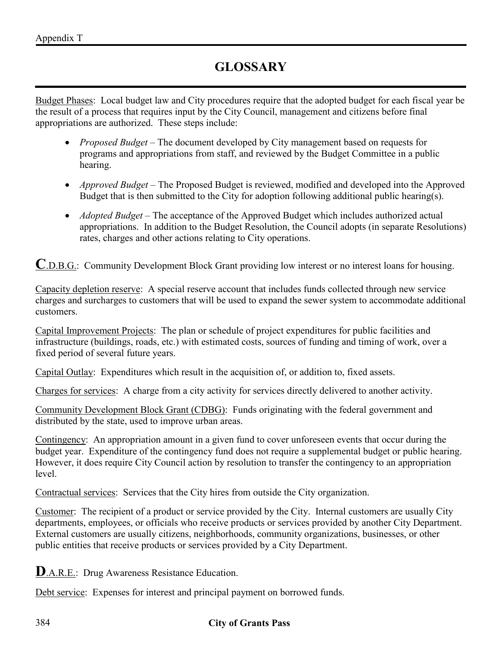Budget Phases: Local budget law and City procedures require that the adopted budget for each fiscal year be the result of a process that requires input by the City Council, management and citizens before final appropriations are authorized. These steps include:

- *Proposed Budget* The document developed by City management based on requests for programs and appropriations from staff, and reviewed by the Budget Committee in a public hearing.
- *Approved Budget* The Proposed Budget is reviewed, modified and developed into the Approved Budget that is then submitted to the City for adoption following additional public hearing(s).
- *Adopted Budget* The acceptance of the Approved Budget which includes authorized actual appropriations. In addition to the Budget Resolution, the Council adopts (in separate Resolutions) rates, charges and other actions relating to City operations.

**C**.D.B.G.: Community Development Block Grant providing low interest or no interest loans for housing.

Capacity depletion reserve: A special reserve account that includes funds collected through new service charges and surcharges to customers that will be used to expand the sewer system to accommodate additional customers.

Capital Improvement Projects: The plan or schedule of project expenditures for public facilities and infrastructure (buildings, roads, etc.) with estimated costs, sources of funding and timing of work, over a fixed period of several future years.

Capital Outlay: Expenditures which result in the acquisition of, or addition to, fixed assets.

Charges for services: A charge from a city activity for services directly delivered to another activity.

Community Development Block Grant (CDBG): Funds originating with the federal government and distributed by the state, used to improve urban areas.

Contingency: An appropriation amount in a given fund to cover unforeseen events that occur during the budget year. Expenditure of the contingency fund does not require a supplemental budget or public hearing. However, it does require City Council action by resolution to transfer the contingency to an appropriation level.

Contractual services: Services that the City hires from outside the City organization.

Customer: The recipient of a product or service provided by the City. Internal customers are usually City departments, employees, or officials who receive products or services provided by another City Department. External customers are usually citizens, neighborhoods, community organizations, businesses, or other public entities that receive products or services provided by a City Department.

**D**.A.R.E.: Drug Awareness Resistance Education.

Debt service: Expenses for interest and principal payment on borrowed funds.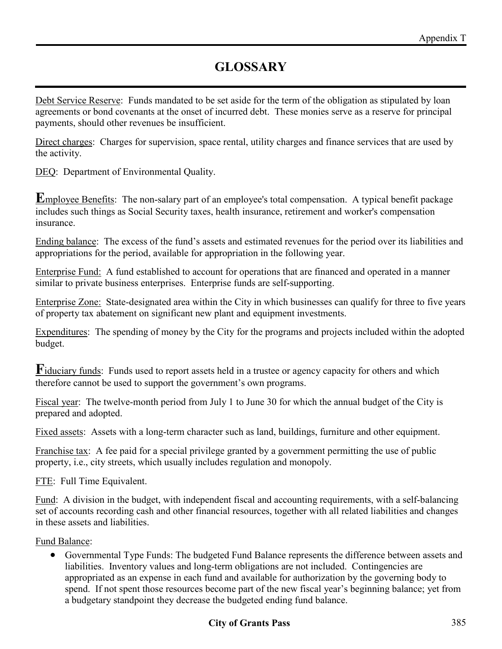Debt Service Reserve: Funds mandated to be set aside for the term of the obligation as stipulated by loan agreements or bond covenants at the onset of incurred debt. These monies serve as a reserve for principal payments, should other revenues be insufficient.

Direct charges: Charges for supervision, space rental, utility charges and finance services that are used by the activity.

DEQ: Department of Environmental Quality.

**E**mployee Benefits: The non-salary part of an employee's total compensation. A typical benefit package includes such things as Social Security taxes, health insurance, retirement and worker's compensation insurance.

Ending balance: The excess of the fund's assets and estimated revenues for the period over its liabilities and appropriations for the period, available for appropriation in the following year.

Enterprise Fund: A fund established to account for operations that are financed and operated in a manner similar to private business enterprises. Enterprise funds are self-supporting.

Enterprise Zone: State-designated area within the City in which businesses can qualify for three to five years of property tax abatement on significant new plant and equipment investments.

Expenditures: The spending of money by the City for the programs and projects included within the adopted budget.

**F**iduciary funds: Funds used to report assets held in a trustee or agency capacity for others and which therefore cannot be used to support the government's own programs.

Fiscal year: The twelve-month period from July 1 to June 30 for which the annual budget of the City is prepared and adopted.

Fixed assets: Assets with a long-term character such as land, buildings, furniture and other equipment.

Franchise tax: A fee paid for a special privilege granted by a government permitting the use of public property, i.e., city streets, which usually includes regulation and monopoly.

FTE: Full Time Equivalent.

Fund: A division in the budget, with independent fiscal and accounting requirements, with a self-balancing set of accounts recording cash and other financial resources, together with all related liabilities and changes in these assets and liabilities.

Fund Balance:

• Governmental Type Funds: The budgeted Fund Balance represents the difference between assets and liabilities. Inventory values and long-term obligations are not included. Contingencies are appropriated as an expense in each fund and available for authorization by the governing body to spend. If not spent those resources become part of the new fiscal year's beginning balance; yet from a budgetary standpoint they decrease the budgeted ending fund balance.

#### **City of Grants Pass** 385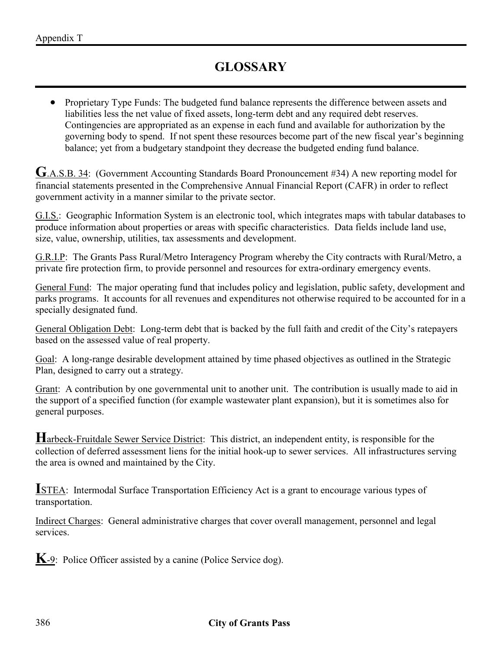• Proprietary Type Funds: The budgeted fund balance represents the difference between assets and liabilities less the net value of fixed assets, long-term debt and any required debt reserves. Contingencies are appropriated as an expense in each fund and available for authorization by the governing body to spend. If not spent these resources become part of the new fiscal year's beginning balance; yet from a budgetary standpoint they decrease the budgeted ending fund balance.

**G**.A.S.B. 34: (Government Accounting Standards Board Pronouncement #34) A new reporting model for financial statements presented in the Comprehensive Annual Financial Report (CAFR) in order to reflect government activity in a manner similar to the private sector.

G.I.S.: Geographic Information System is an electronic tool, which integrates maps with tabular databases to produce information about properties or areas with specific characteristics. Data fields include land use, size, value, ownership, utilities, tax assessments and development.

G.R.I.P: The Grants Pass Rural/Metro Interagency Program whereby the City contracts with Rural/Metro, a private fire protection firm, to provide personnel and resources for extra-ordinary emergency events.

General Fund: The major operating fund that includes policy and legislation, public safety, development and parks programs. It accounts for all revenues and expenditures not otherwise required to be accounted for in a specially designated fund.

General Obligation Debt: Long-term debt that is backed by the full faith and credit of the City's ratepayers based on the assessed value of real property.

Goal: A long-range desirable development attained by time phased objectives as outlined in the Strategic Plan, designed to carry out a strategy.

Grant: A contribution by one governmental unit to another unit. The contribution is usually made to aid in the support of a specified function (for example wastewater plant expansion), but it is sometimes also for general purposes.

**H**arbeck-Fruitdale Sewer Service District: This district, an independent entity, is responsible for the collection of deferred assessment liens for the initial hook-up to sewer services. All infrastructures serving the area is owned and maintained by the City.

**I**STEA: Intermodal Surface Transportation Efficiency Act is a grant to encourage various types of transportation.

Indirect Charges: General administrative charges that cover overall management, personnel and legal services.

**K**-9: Police Officer assisted by a canine (Police Service dog).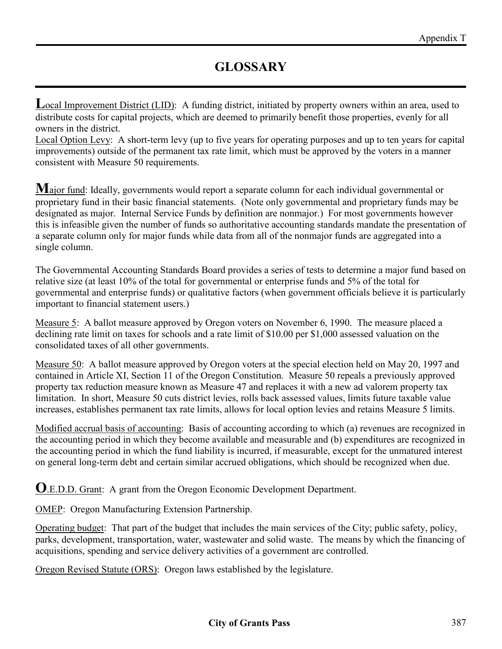Local Improvement District (LID): A funding district, initiated by property owners within an area, used to distribute costs for capital projects, which are deemed to primarily benefit those properties, evenly for all owners in the district.

Local Option Levy: A short-term levy (up to five years for operating purposes and up to ten years for capital improvements) outside of the permanent tax rate limit, which must be approved by the voters in a manner consistent with Measure 50 requirements.

**M**ajor fund: Ideally, governments would report a separate column for each individual governmental or proprietary fund in their basic financial statements. (Note only governmental and proprietary funds may be designated as major. Internal Service Funds by definition are nonmajor.) For most governments however this is infeasible given the number of funds so authoritative accounting standards mandate the presentation of a separate column only for major funds while data from all of the nonmajor funds are aggregated into a single column.

The Governmental Accounting Standards Board provides a series of tests to determine a major fund based on relative size (at least 10% of the total for governmental or enterprise funds and 5% of the total for governmental and enterprise funds) or qualitative factors (when government officials believe it is particularly important to financial statement users.)

Measure 5: A ballot measure approved by Oregon voters on November 6, 1990. The measure placed a declining rate limit on taxes for schools and a rate limit of \$10.00 per \$1,000 assessed valuation on the consolidated taxes of all other governments.

Measure 50: A ballot measure approved by Oregon voters at the special election held on May 20, 1997 and contained in Article XI, Section 11 of the Oregon Constitution. Measure 50 repeals a previously approved property tax reduction measure known as Measure 47 and replaces it with a new ad valorem property tax limitation. In short, Measure 50 cuts district levies, rolls back assessed values, limits future taxable value increases, establishes permanent tax rate limits, allows for local option levies and retains Measure 5 limits.

Modified accrual basis of accounting: Basis of accounting according to which (a) revenues are recognized in the accounting period in which they become available and measurable and (b) expenditures are recognized in the accounting period in which the fund liability is incurred, if measurable, except for the unmatured interest on general long-term debt and certain similar accrued obligations, which should be recognized when due.

**O**.E.D.D. Grant: A grant from the Oregon Economic Development Department.

OMEP: Oregon Manufacturing Extension Partnership.

Operating budget: That part of the budget that includes the main services of the City; public safety, policy, parks, development, transportation, water, wastewater and solid waste. The means by which the financing of acquisitions, spending and service delivery activities of a government are controlled.

Oregon Revised Statute (ORS): Oregon laws established by the legislature.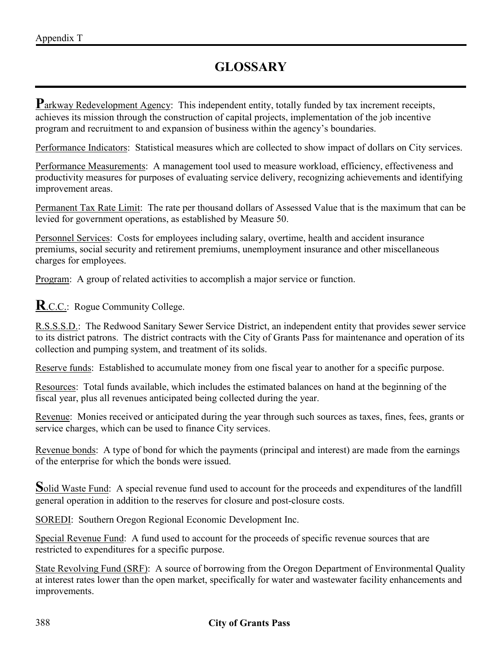Parkway Redevelopment Agency: This independent entity, totally funded by tax increment receipts, achieves its mission through the construction of capital projects, implementation of the job incentive program and recruitment to and expansion of business within the agency's boundaries.

Performance Indicators: Statistical measures which are collected to show impact of dollars on City services.

Performance Measurements: A management tool used to measure workload, efficiency, effectiveness and productivity measures for purposes of evaluating service delivery, recognizing achievements and identifying improvement areas.

Permanent Tax Rate Limit: The rate per thousand dollars of Assessed Value that is the maximum that can be levied for government operations, as established by Measure 50.

Personnel Services: Costs for employees including salary, overtime, health and accident insurance premiums, social security and retirement premiums, unemployment insurance and other miscellaneous charges for employees.

Program: A group of related activities to accomplish a major service or function.

#### **R**.C.C.: Rogue Community College.

R.S.S.S.D.: The Redwood Sanitary Sewer Service District, an independent entity that provides sewer service to its district patrons. The district contracts with the City of Grants Pass for maintenance and operation of its collection and pumping system, and treatment of its solids.

Reserve funds: Established to accumulate money from one fiscal year to another for a specific purpose.

Resources: Total funds available, which includes the estimated balances on hand at the beginning of the fiscal year, plus all revenues anticipated being collected during the year.

Revenue: Monies received or anticipated during the year through such sources as taxes, fines, fees, grants or service charges, which can be used to finance City services.

Revenue bonds: A type of bond for which the payments (principal and interest) are made from the earnings of the enterprise for which the bonds were issued.

**S**olid Waste Fund: A special revenue fund used to account for the proceeds and expenditures of the landfill general operation in addition to the reserves for closure and post-closure costs.

SOREDI: Southern Oregon Regional Economic Development Inc.

Special Revenue Fund: A fund used to account for the proceeds of specific revenue sources that are restricted to expenditures for a specific purpose.

State Revolving Fund (SRF): A source of borrowing from the Oregon Department of Environmental Quality at interest rates lower than the open market, specifically for water and wastewater facility enhancements and improvements.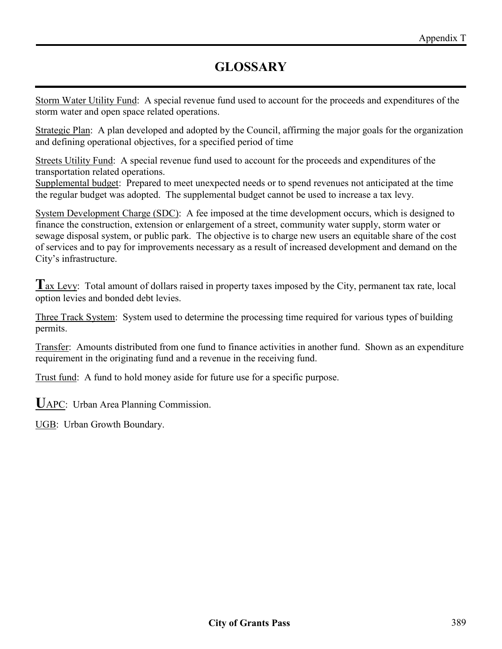Storm Water Utility Fund: A special revenue fund used to account for the proceeds and expenditures of the storm water and open space related operations.

Strategic Plan: A plan developed and adopted by the Council, affirming the major goals for the organization and defining operational objectives, for a specified period of time

Streets Utility Fund: A special revenue fund used to account for the proceeds and expenditures of the transportation related operations.

Supplemental budget: Prepared to meet unexpected needs or to spend revenues not anticipated at the time the regular budget was adopted. The supplemental budget cannot be used to increase a tax levy.

System Development Charge (SDC): A fee imposed at the time development occurs, which is designed to finance the construction, extension or enlargement of a street, community water supply, storm water or sewage disposal system, or public park. The objective is to charge new users an equitable share of the cost of services and to pay for improvements necessary as a result of increased development and demand on the City's infrastructure.

Tax Levy: Total amount of dollars raised in property taxes imposed by the City, permanent tax rate, local option levies and bonded debt levies.

Three Track System: System used to determine the processing time required for various types of building permits.

Transfer: Amounts distributed from one fund to finance activities in another fund. Shown as an expenditure requirement in the originating fund and a revenue in the receiving fund.

Trust fund: A fund to hold money aside for future use for a specific purpose.

**U**APC: Urban Area Planning Commission.

UGB: Urban Growth Boundary.